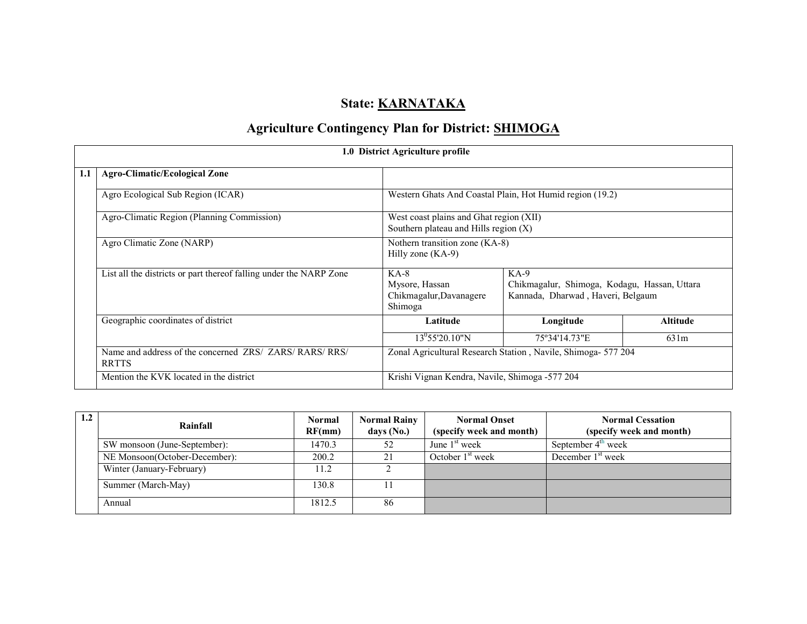# State: **KARNATAKA**

# Agriculture Contingency Plan for District: SHIMOGA

|     | 1.0 District Agriculture profile                                        |                                                                                    |                                                                                             |                 |  |  |  |  |  |
|-----|-------------------------------------------------------------------------|------------------------------------------------------------------------------------|---------------------------------------------------------------------------------------------|-----------------|--|--|--|--|--|
| 1.1 | <b>Agro-Climatic/Ecological Zone</b>                                    |                                                                                    |                                                                                             |                 |  |  |  |  |  |
|     | Agro Ecological Sub Region (ICAR)                                       | Western Ghats And Coastal Plain, Hot Humid region (19.2)                           |                                                                                             |                 |  |  |  |  |  |
|     | Agro-Climatic Region (Planning Commission)                              | West coast plains and Ghat region (XII)<br>Southern plateau and Hills region $(X)$ |                                                                                             |                 |  |  |  |  |  |
|     | Agro Climatic Zone (NARP)                                               | Nothern transition zone (KA-8)<br>Hilly zone $(KA-9)$                              |                                                                                             |                 |  |  |  |  |  |
|     | List all the districts or part thereof falling under the NARP Zone      | $KA-8$<br>Mysore, Hassan<br>Chikmagalur, Davanagere<br>Shimoga                     | $KA-9$<br>Chikmagalur, Shimoga, Kodagu, Hassan, Uttara<br>Kannada, Dharwad, Haveri, Belgaum |                 |  |  |  |  |  |
|     | Geographic coordinates of district                                      | Latitude                                                                           | Longitude                                                                                   | <b>Altitude</b> |  |  |  |  |  |
|     |                                                                         | $13^{0}$ 55'20.10"N                                                                | 75°34'14.73"E                                                                               | 631m            |  |  |  |  |  |
|     | Name and address of the concerned ZRS/ ZARS/ RARS/ RRS/<br><b>RRTTS</b> | Zonal Agricultural Research Station, Navile, Shimoga- 577 204                      |                                                                                             |                 |  |  |  |  |  |
|     | Mention the KVK located in the district                                 | Krishi Vignan Kendra, Navile, Shimoga -577 204                                     |                                                                                             |                 |  |  |  |  |  |

| Rainfall                      | <b>Normal</b><br>RF(mm) | <b>Normal Rainy</b><br>days (No.) | <b>Normal Onset</b><br>(specify week and month) | <b>Normal Cessation</b><br>(specify week and month) |
|-------------------------------|-------------------------|-----------------------------------|-------------------------------------------------|-----------------------------------------------------|
| SW monsoon (June-September):  | 1470.3                  | 52                                | June $1st$ week                                 | September $4th$ week                                |
| NE Monsoon(October-December): | 200.2                   |                                   | October $1st$ week                              | December $1st$ week                                 |
| Winter (January-February)     | 11.2                    |                                   |                                                 |                                                     |
| Summer (March-May)            | 130.8                   |                                   |                                                 |                                                     |
| Annual                        | 1812.5                  | 86                                |                                                 |                                                     |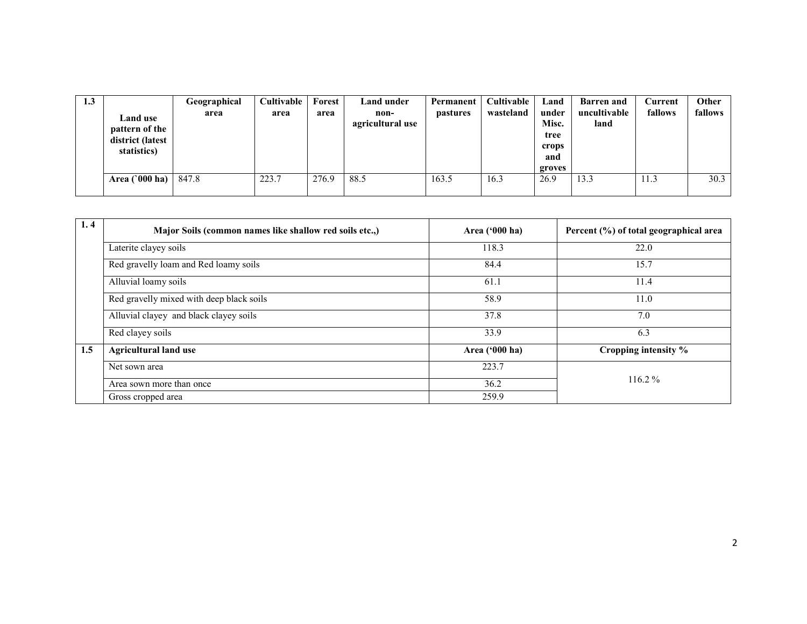| 1.3 | <b>Land</b> use<br>pattern of the<br>district (latest<br>statistics) | Geographical<br>area | Cultivable<br>area | Forest<br>area | <b>Land under</b><br>non-<br>agricultural use | Permanent<br><i>pastures</i> | Cultivable<br>wasteland | Land<br>under<br>Misc.<br>tree<br>crops<br>and<br>groves | <b>Barren</b> and<br>uncultivable<br>land | Current<br>fallows | Other<br>fallows |
|-----|----------------------------------------------------------------------|----------------------|--------------------|----------------|-----------------------------------------------|------------------------------|-------------------------|----------------------------------------------------------|-------------------------------------------|--------------------|------------------|
|     | Area $(000 \text{ ha})$                                              | 847.8                | 223.7              | 276.9          | 88.5                                          | 163.5                        | 16.3                    | 26.9                                                     | 13.3                                      | 11.3               | 30.3             |

| 1.4 | Major Soils (common names like shallow red soils etc.,) | Area $(900 \text{ ha})$ | Percent (%) of total geographical area |
|-----|---------------------------------------------------------|-------------------------|----------------------------------------|
|     | Laterite clayey soils                                   | 118.3                   | 22.0                                   |
|     | Red gravelly loam and Red loamy soils                   | 84.4                    | 15.7                                   |
|     | Alluvial loamy soils                                    | 61.1                    | 11.4                                   |
|     | Red gravelly mixed with deep black soils                | 58.9                    | 11.0                                   |
|     | Alluvial clayey and black clayey soils                  | 37.8                    | 7.0                                    |
|     | Red clayey soils                                        | 33.9                    | 6.3                                    |
| 1.5 | <b>Agricultural land use</b>                            | Area $('000 ha)$        | Cropping intensity %                   |
|     | Net sown area                                           | 223.7                   |                                        |
|     | Area sown more than once                                | 36.2                    | $116.2\%$                              |
|     | Gross cropped area                                      | 259.9                   |                                        |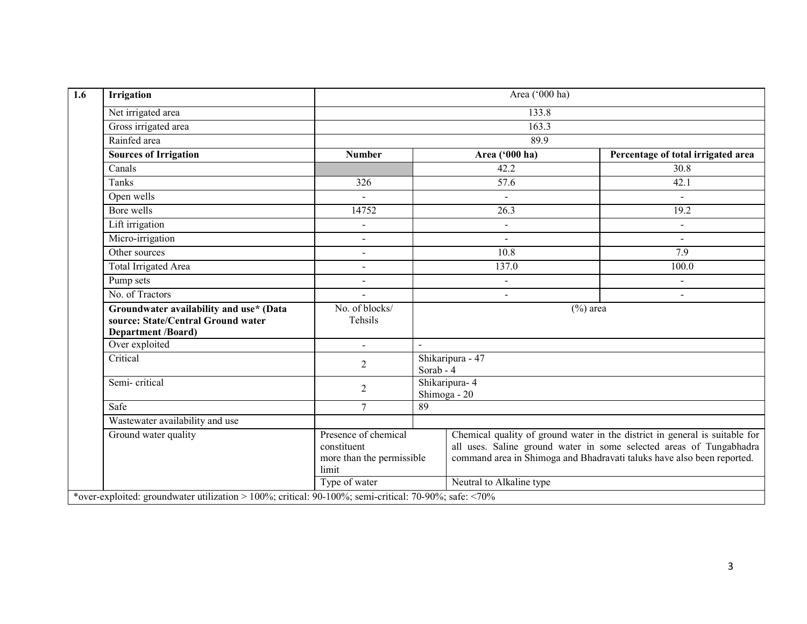| <b>Irrigation</b>                                                                                          | Area ('000 ha)                                                            |           |                               |                                                                                                                                                                                                                              |  |  |  |
|------------------------------------------------------------------------------------------------------------|---------------------------------------------------------------------------|-----------|-------------------------------|------------------------------------------------------------------------------------------------------------------------------------------------------------------------------------------------------------------------------|--|--|--|
| Net irrigated area                                                                                         |                                                                           |           | 133.8                         |                                                                                                                                                                                                                              |  |  |  |
| Gross irrigated area                                                                                       |                                                                           |           | 163.3                         |                                                                                                                                                                                                                              |  |  |  |
| Rainfed area                                                                                               |                                                                           |           | 89.9                          |                                                                                                                                                                                                                              |  |  |  |
| <b>Sources of Irrigation</b>                                                                               | <b>Number</b>                                                             |           | Area ('000 ha)                | Percentage of total irrigated area                                                                                                                                                                                           |  |  |  |
| Canals                                                                                                     |                                                                           |           | 42.2                          | 30.8                                                                                                                                                                                                                         |  |  |  |
| Tanks                                                                                                      | 326                                                                       |           | 57.6                          | 42.1                                                                                                                                                                                                                         |  |  |  |
| Open wells                                                                                                 | $\sim$                                                                    |           | $\sim$                        |                                                                                                                                                                                                                              |  |  |  |
| Bore wells                                                                                                 | 14752                                                                     |           | 26.3                          | 19.2                                                                                                                                                                                                                         |  |  |  |
| Lift irrigation                                                                                            |                                                                           |           | $\ddot{\phantom{a}}$          | $\blacksquare$                                                                                                                                                                                                               |  |  |  |
| Micro-irrigation                                                                                           |                                                                           |           | $\sim$                        |                                                                                                                                                                                                                              |  |  |  |
| Other sources                                                                                              |                                                                           |           | 10.8                          | 7.9                                                                                                                                                                                                                          |  |  |  |
| <b>Total Irrigated Area</b>                                                                                |                                                                           |           | 137.0                         | 100.0                                                                                                                                                                                                                        |  |  |  |
| Pump sets                                                                                                  |                                                                           |           | $\blacksquare$                |                                                                                                                                                                                                                              |  |  |  |
| No. of Tractors                                                                                            |                                                                           |           | $\sim$                        | $\sim$                                                                                                                                                                                                                       |  |  |  |
| Groundwater availability and use* (Data<br>source: State/Central Ground water<br><b>Department /Board)</b> | No. of blocks/<br>Tehsils                                                 |           |                               | $(\%)$ area                                                                                                                                                                                                                  |  |  |  |
| Over exploited                                                                                             |                                                                           | $\sim$    |                               |                                                                                                                                                                                                                              |  |  |  |
| Critical                                                                                                   | $\overline{2}$                                                            | Sorab - 4 | Shikaripura - 47              |                                                                                                                                                                                                                              |  |  |  |
| Semi-critical                                                                                              | $\overline{2}$                                                            |           | Shikaripura-4<br>Shimoga - 20 |                                                                                                                                                                                                                              |  |  |  |
| Safe                                                                                                       | $\overline{7}$                                                            | 89        |                               |                                                                                                                                                                                                                              |  |  |  |
| Wastewater availability and use                                                                            |                                                                           |           |                               |                                                                                                                                                                                                                              |  |  |  |
| Ground water quality                                                                                       | Presence of chemical<br>constituent<br>more than the permissible<br>limit |           |                               | Chemical quality of ground water in the district in general is suitable for<br>all uses. Saline ground water in some selected areas of Tungabhadra<br>command area in Shimoga and Bhadravati taluks have also been reported. |  |  |  |
|                                                                                                            | Type of water                                                             |           | Neutral to Alkaline type      |                                                                                                                                                                                                                              |  |  |  |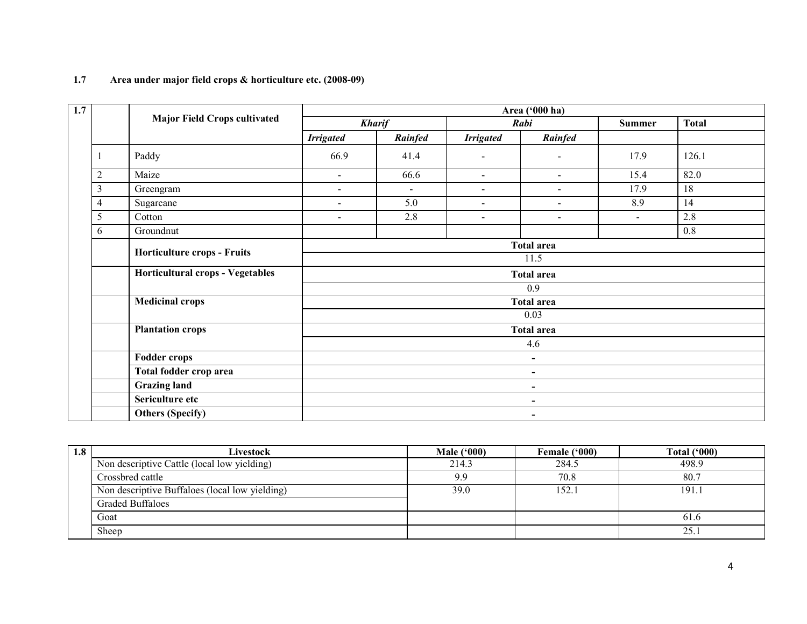| 1.7 | Area under major field crops & horticulture etc. (2008-09) |  |
|-----|------------------------------------------------------------|--|
|-----|------------------------------------------------------------|--|

| 1.7            |                                     | Area ('000 ha)           |                |                          |                          |                |              |  |  |
|----------------|-------------------------------------|--------------------------|----------------|--------------------------|--------------------------|----------------|--------------|--|--|
|                | <b>Major Field Crops cultivated</b> |                          | <b>Kharif</b>  |                          | Rabi                     | <b>Summer</b>  | <b>Total</b> |  |  |
|                |                                     | <b>Irrigated</b>         | Rainfed        | <b>Irrigated</b>         | Rainfed                  |                |              |  |  |
|                | Paddy                               | 66.9                     | 41.4           | $\overline{\phantom{a}}$ | $\overline{\phantom{a}}$ | 17.9           | 126.1        |  |  |
| $\overline{2}$ | Maize                               | $\sim$                   | 66.6           | $\sim$                   | $\blacksquare$           | 15.4           | 82.0         |  |  |
| 3              | Greengram                           | $\sim$                   | $\blacksquare$ | $\sim$                   | $\blacksquare$           | 17.9           | 18           |  |  |
| 4<br>5         | Sugarcane                           | $\overline{\phantom{a}}$ | 5.0            | $\blacksquare$           | $\overline{\phantom{a}}$ | 8.9            | 14           |  |  |
|                | Cotton                              | $\overline{\phantom{a}}$ | 2.8            | $\blacksquare$           | $\overline{\phantom{a}}$ | $\blacksquare$ | 2.8          |  |  |
| 6              | Groundnut                           |                          |                |                          |                          |                | 0.8          |  |  |
|                |                                     | <b>Total area</b>        |                |                          |                          |                |              |  |  |
|                | Horticulture crops - Fruits         | 11.5                     |                |                          |                          |                |              |  |  |
|                | Horticultural crops - Vegetables    | <b>Total area</b>        |                |                          |                          |                |              |  |  |
|                |                                     |                          |                |                          | 0.9                      |                |              |  |  |
|                | <b>Medicinal crops</b>              |                          |                |                          | <b>Total area</b>        |                |              |  |  |
|                |                                     |                          |                |                          | 0.03                     |                |              |  |  |
|                | <b>Plantation crops</b>             |                          |                |                          | <b>Total area</b>        |                |              |  |  |
|                |                                     |                          |                |                          | 4.6                      |                |              |  |  |
|                | <b>Fodder crops</b>                 |                          |                |                          | $\blacksquare$           |                |              |  |  |
|                | Total fodder crop area              | $\blacksquare$           |                |                          |                          |                |              |  |  |
|                | <b>Grazing land</b>                 | $\blacksquare$           |                |                          |                          |                |              |  |  |
|                | Sericulture etc                     | $\blacksquare$           |                |                          |                          |                |              |  |  |
|                | <b>Others (Specify)</b>             |                          | $\blacksquare$ |                          |                          |                |              |  |  |

| 1.8 | Livestock                                      | Male $(900)$ | Female ('000) | Total $(900)$ |
|-----|------------------------------------------------|--------------|---------------|---------------|
|     | Non descriptive Cattle (local low yielding)    | 214.3        | 284.5         | 498.9         |
|     | Crossbred cattle                               | 9.9          | 70.8          | 80.7          |
|     | Non descriptive Buffaloes (local low yielding) | 39.0         | .52.1         | 191.1         |
|     | <b>Graded Buffaloes</b>                        |              |               |               |
|     | Goat                                           |              |               | 61.6          |
|     | Sheep                                          |              |               | 25.1          |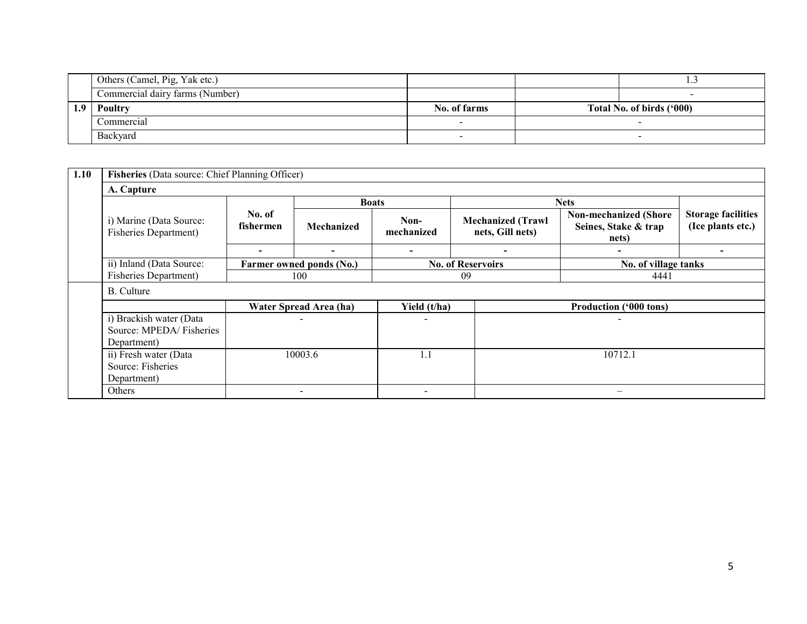|     | Others (Camel, Pig, Yak etc.)   |              |                           |
|-----|---------------------------------|--------------|---------------------------|
|     | Commercial dairy farms (Number) |              |                           |
| 1.9 | Poultry                         | No. of farms | Total No. of birds ('000) |
|     | Commercial                      |              |                           |
|     | Backyard                        |              |                           |

| 1.10 | Fisheries (Data source: Chief Planning Officer)                   |                          |                          |                          |                                              |                                                               |                                                |  |  |  |
|------|-------------------------------------------------------------------|--------------------------|--------------------------|--------------------------|----------------------------------------------|---------------------------------------------------------------|------------------------------------------------|--|--|--|
|      | A. Capture                                                        |                          |                          |                          |                                              |                                                               |                                                |  |  |  |
|      | i) Marine (Data Source:<br><b>Fisheries Department)</b>           | <b>Boats</b>             |                          |                          |                                              | <b>Nets</b>                                                   |                                                |  |  |  |
|      |                                                                   | No. of<br>fishermen      | Mechanized               | Non-<br>mechanized       | <b>Mechanized (Trawl</b><br>nets, Gill nets) | <b>Non-mechanized (Shore</b><br>Seines, Stake & trap<br>nets) | <b>Storage facilities</b><br>(Ice plants etc.) |  |  |  |
|      |                                                                   | $\overline{\phantom{0}}$ | $\overline{\phantom{0}}$ |                          |                                              |                                                               |                                                |  |  |  |
|      | ii) Inland (Data Source:                                          |                          | Farmer owned ponds (No.) |                          | <b>No. of Reservoirs</b>                     | No. of village tanks                                          |                                                |  |  |  |
|      | <b>Fisheries Department)</b>                                      |                          | 100                      |                          | 09<br>4441                                   |                                                               |                                                |  |  |  |
|      | <b>B.</b> Culture                                                 |                          |                          |                          |                                              |                                                               |                                                |  |  |  |
|      |                                                                   |                          | Water Spread Area (ha)   | Yield (t/ha)             |                                              | <b>Production ('000 tons)</b>                                 |                                                |  |  |  |
|      | i) Brackish water (Data<br>Source: MPEDA/Fisheries<br>Department) |                          |                          | $\overline{\phantom{a}}$ |                                              | $\overline{\phantom{a}}$                                      |                                                |  |  |  |
|      | ii) Fresh water (Data<br>Source: Fisheries<br>Department)         | 10003.6                  |                          | 1.1                      |                                              | 10712.1                                                       |                                                |  |  |  |
|      | Others                                                            |                          | $\overline{\phantom{a}}$ | $\overline{\phantom{a}}$ |                                              |                                                               |                                                |  |  |  |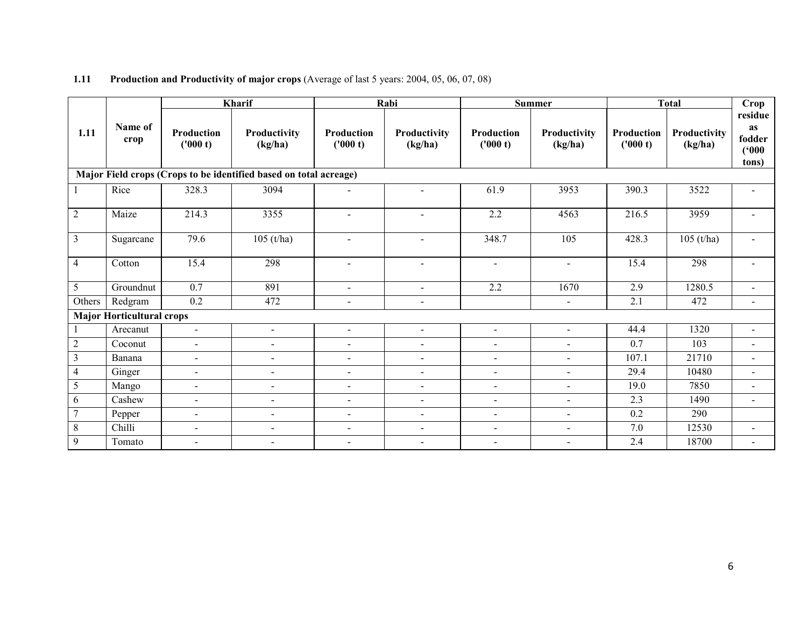|                                                                   |                                  |                        | Kharif                   |                          | Rabi                     | <b>Summer</b>          |                         | <b>Total</b>                  |                         | Crop                                      |  |
|-------------------------------------------------------------------|----------------------------------|------------------------|--------------------------|--------------------------|--------------------------|------------------------|-------------------------|-------------------------------|-------------------------|-------------------------------------------|--|
| 1.11                                                              | Name of<br>crop                  | Production<br>('000 t) | Productivity<br>(kg/ha)  | Production<br>('000 t)   | Productivity<br>(kg/ha)  | Production<br>('000 t) | Productivity<br>(kg/ha) | <b>Production</b><br>('000 t) | Productivity<br>(kg/ha) | residue<br>as<br>fodder<br>(500)<br>tons) |  |
| Major Field crops (Crops to be identified based on total acreage) |                                  |                        |                          |                          |                          |                        |                         |                               |                         |                                           |  |
|                                                                   | Rice                             | 328.3                  | 3094                     | $\blacksquare$           | $\blacksquare$           | 61.9                   | 3953                    | 390.3                         | 3522                    |                                           |  |
| $\overline{2}$                                                    | Maize                            | 214.3                  | 3355                     | $\blacksquare$           | $\sim$                   | 2.2                    | 4563                    | 216.5                         | 3959                    |                                           |  |
| $\overline{3}$                                                    | Sugarcane                        | 79.6                   | $105$ (t/ha)             | $\overline{\phantom{a}}$ | $\sim$                   | 348.7                  | 105                     | 428.3                         | $105$ (t/ha)            | $\overline{\phantom{a}}$                  |  |
| $\overline{4}$                                                    | Cotton                           | 15.4                   | 298                      | $\blacksquare$           | $\blacksquare$           | $\blacksquare$         | $\blacksquare$          | 15.4                          | 298                     |                                           |  |
| 5                                                                 | Groundnut                        | 0.7                    | 891                      | $\sim$                   | $\sim$                   | 2.2                    | 1670                    | 2.9                           | 1280.5                  |                                           |  |
| Others                                                            | Redgram                          | $0.2\,$                | 472                      | $\blacksquare$           | $\blacksquare$           |                        | $\blacksquare$          | 2.1                           | 472                     | $\blacksquare$                            |  |
|                                                                   | <b>Major Horticultural crops</b> |                        |                          |                          |                          |                        |                         |                               |                         |                                           |  |
|                                                                   | Arecanut                         | $\omega$               | $\blacksquare$           | $\blacksquare$           | $\sim$                   | $\blacksquare$         | $\blacksquare$          | 44.4                          | 1320                    | $\blacksquare$                            |  |
| $\overline{2}$                                                    | Coconut                          | $\blacksquare$         | $\blacksquare$           | $\blacksquare$           | $\blacksquare$           | $\blacksquare$         | $\blacksquare$          | 0.7                           | 103                     | $\blacksquare$                            |  |
| $\overline{3}$                                                    | Banana                           | $\omega$               | $\overline{\phantom{a}}$ | $\blacksquare$           | $\blacksquare$           | $\blacksquare$         | $\blacksquare$          | 107.1                         | 21710                   | $\blacksquare$                            |  |
| $\overline{4}$                                                    | Ginger                           | $\sim$                 | $\blacksquare$           | $\sim$                   | $\sim$                   | $\sim$                 | $\blacksquare$          | 29.4                          | 10480                   | $\blacksquare$                            |  |
| 5                                                                 | Mango                            | $\blacksquare$         | $\blacksquare$           | $\sim$                   | $\sim$                   | $\sim$                 | $\sim$                  | 19.0                          | 7850                    | $\sim$                                    |  |
| 6                                                                 | Cashew                           | $\sim$                 | $\blacksquare$           | $\sim$                   | $\blacksquare$           | $\sim$                 | $\sim$                  | 2.3                           | 1490                    | $\blacksquare$                            |  |
| $\tau$                                                            | Pepper                           | $\sim$                 | $\blacksquare$           | $\sim$                   | $\blacksquare$           | $\sim$                 | $\sim$                  | 0.2                           | 290                     |                                           |  |
| $8\,$                                                             | Chilli                           | $\blacksquare$         | $\blacksquare$           | $\sim$                   | $\blacksquare$           | $\blacksquare$         | $\blacksquare$          | 7.0                           | 12530                   | $\blacksquare$                            |  |
| 9                                                                 | Tomato                           | $\blacksquare$         | $\blacksquare$           | $\blacksquare$           | $\overline{\phantom{a}}$ | $\blacksquare$         | $\sim$                  | 2.4                           | 18700                   |                                           |  |

#### **1.11** Production and Productivity of major crops (Average of last 5 years: 2004, 05, 06, 07, 08)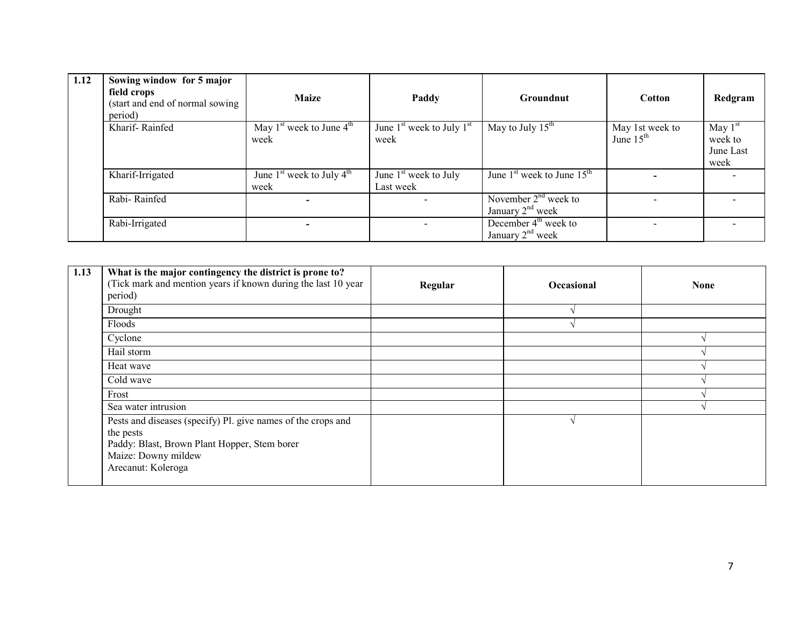| 1.12 | Sowing window for 5 major<br>field crops<br>(start and end of normal sowing<br>period) | <b>Maize</b>                          | Paddy                                 | Groundnut                                    | <b>Cotton</b>                  | Redgram                                   |
|------|----------------------------------------------------------------------------------------|---------------------------------------|---------------------------------------|----------------------------------------------|--------------------------------|-------------------------------------------|
|      | Kharif-Rainfed                                                                         | May $1st$ week to June $4th$<br>week  | June $1st$ week to July $1st$<br>week | May to July $15^{\text{th}}$                 | May 1st week to<br>June $15th$ | May $1st$<br>week to<br>June Last<br>week |
|      | Kharif-Irrigated                                                                       | June $1st$ week to July $4th$<br>week | June $1st$ week to July<br>Last week  | June $1st$ week to June $15th$               |                                |                                           |
|      | Rabi-Rainfed                                                                           |                                       |                                       | November $2nd$ week to<br>January $2nd$ week |                                |                                           |
|      | Rabi-Irrigated                                                                         |                                       |                                       | December $4th$ week to<br>January $2nd$ week |                                |                                           |

| 1.13 | What is the major contingency the district is prone to?<br>(Tick mark and mention years if known during the last 10 year)<br>period)                                   | Regular | <b>Occasional</b> | <b>None</b> |
|------|------------------------------------------------------------------------------------------------------------------------------------------------------------------------|---------|-------------------|-------------|
|      | Drought                                                                                                                                                                |         |                   |             |
|      | Floods                                                                                                                                                                 |         |                   |             |
|      | Cyclone                                                                                                                                                                |         |                   |             |
|      | Hail storm                                                                                                                                                             |         |                   |             |
|      | Heat wave                                                                                                                                                              |         |                   |             |
|      | Cold wave                                                                                                                                                              |         |                   |             |
|      | Frost                                                                                                                                                                  |         |                   |             |
|      | Sea water intrusion                                                                                                                                                    |         |                   |             |
|      | Pests and diseases (specify) Pl. give names of the crops and<br>the pests<br>Paddy: Blast, Brown Plant Hopper, Stem borer<br>Maize: Downy mildew<br>Arecanut: Koleroga |         |                   |             |
|      |                                                                                                                                                                        |         |                   |             |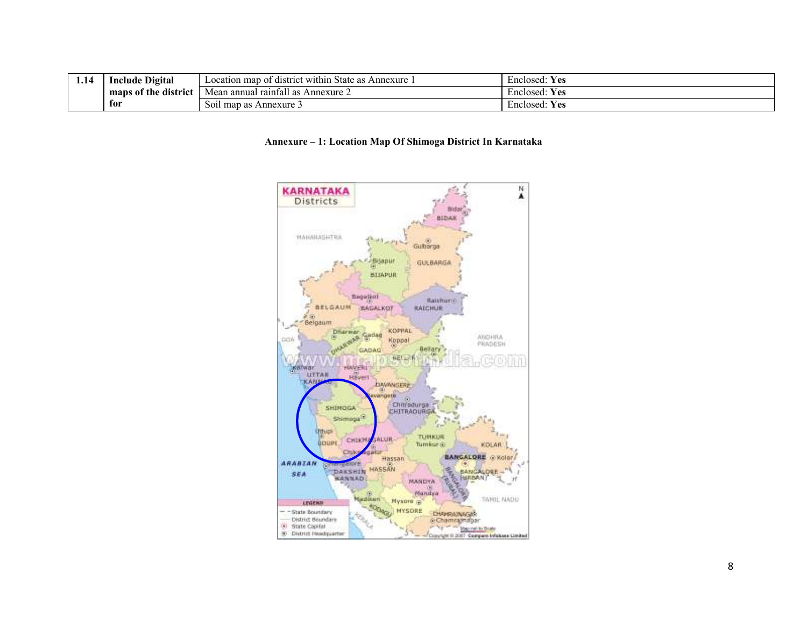| 1.IT | $\mathbf{r}$<br>Include<br>: Digital | . .<br>map<br>rict within<br>State<br>Annexure<br>district:<br>Location<br>$\sim$<br>$\mathbf{u}$<br>ີແມ | $-$<br><b>Yes</b><br>Enclosed: |
|------|--------------------------------------|----------------------------------------------------------------------------------------------------------|--------------------------------|
|      | maps of the district                 | - 11<br>Mean<br>Annexure 2<br>ı annual<br>raintall                                                       | Enclosed:<br>ves:              |
|      | tor                                  | $\sqrt{2}$<br><b>S011</b><br>Annexure 3<br>map<br>$\sim$ $\sim$<br>as.                                   | $-$<br><b>Yes</b><br>Enclosed: |

#### Annexure – 1: Location Map Of Shimoga District In Karnataka

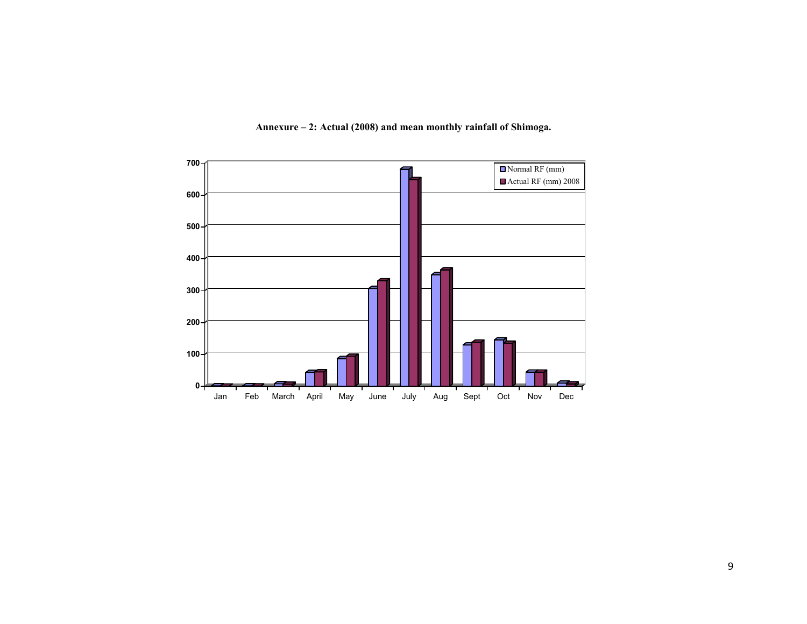

Annexure – 2: Actual (2008) and mean monthly rainfall of Shimoga.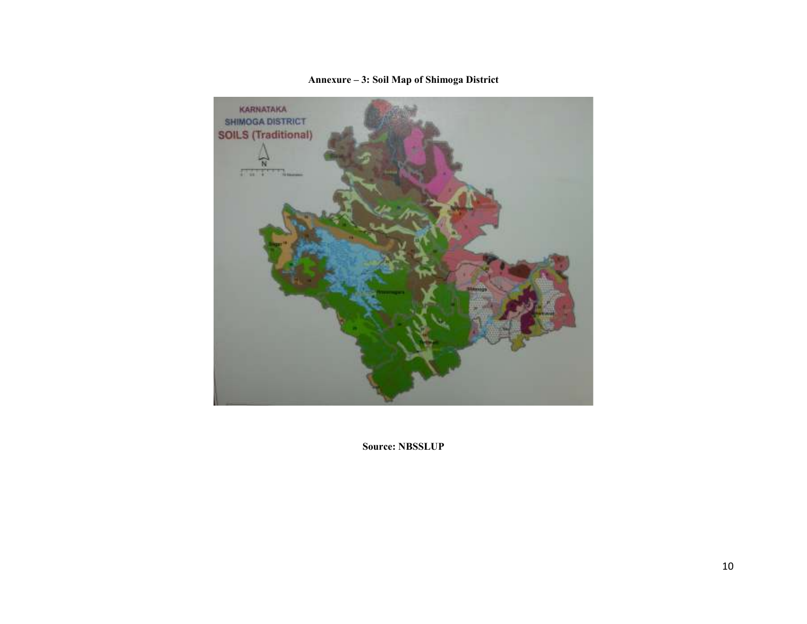

Annexure – 3: Soil Map of Shimoga District

Source: NBSSLUP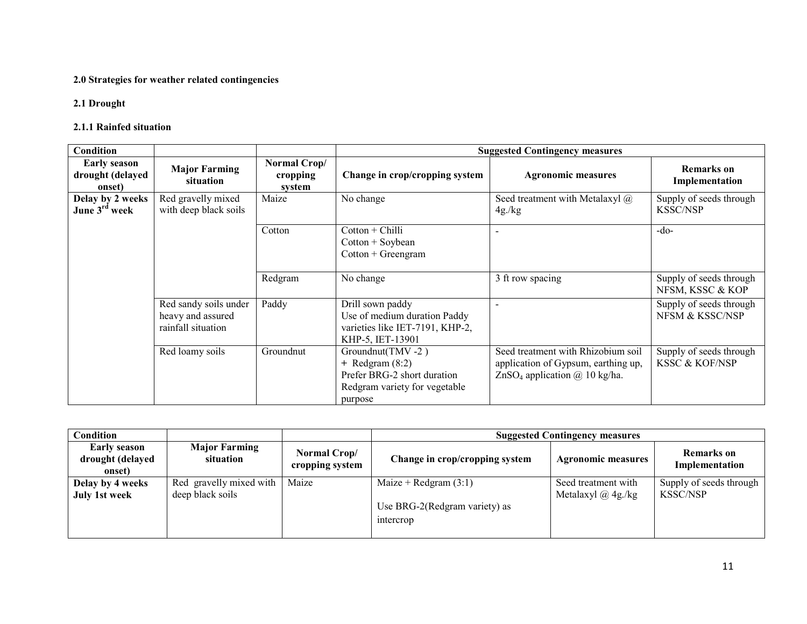#### 2.0 Strategies for weather related contingencies

### 2.1 Drought

#### 2.1.1 Rainfed situation

| <b>Condition</b>                                  |                                                                  |                                    |                                                                                                                    | <b>Suggested Contingency measures</b>                                                                                         |                                                      |
|---------------------------------------------------|------------------------------------------------------------------|------------------------------------|--------------------------------------------------------------------------------------------------------------------|-------------------------------------------------------------------------------------------------------------------------------|------------------------------------------------------|
| <b>Early season</b><br>drought (delayed<br>onset) | <b>Major Farming</b><br>situation                                | Normal Crop/<br>cropping<br>system | Change in crop/cropping system                                                                                     | <b>Agronomic measures</b>                                                                                                     | <b>Remarks</b> on<br>Implementation                  |
| Delay by 2 weeks<br>June 3 <sup>rd</sup> week     | Red gravelly mixed<br>with deep black soils                      | Maize                              | No change                                                                                                          | Seed treatment with Metalaxyl $\omega$<br>4g/kg                                                                               | Supply of seeds through<br><b>KSSC/NSP</b>           |
|                                                   |                                                                  | Cotton                             | $Cottom + Chilli$<br>$Cottom + Soybean$<br>$Cottom + Greengram$                                                    |                                                                                                                               | $-do-$                                               |
|                                                   |                                                                  | Redgram                            | No change                                                                                                          | 3 ft row spacing                                                                                                              | Supply of seeds through<br>NFSM, KSSC & KOP          |
|                                                   | Red sandy soils under<br>heavy and assured<br>rainfall situation | Paddy                              | Drill sown paddy<br>Use of medium duration Paddy<br>varieties like IET-7191, KHP-2,<br>KHP-5, IET-13901            |                                                                                                                               | Supply of seeds through<br>NFSM & KSSC/NSP           |
|                                                   | Red loamy soils                                                  | Groundnut                          | Groundnut(TMV-2)<br>$+$ Redgram $(8:2)$<br>Prefer BRG-2 short duration<br>Redgram variety for vegetable<br>purpose | Seed treatment with Rhizobium soil<br>application of Gypsum, earthing up,<br>ZnSO <sub>4</sub> application $\omega$ 10 kg/ha. | Supply of seeds through<br><b>KSSC &amp; KOF/NSP</b> |

| Condition                                  |                                             |                                 | <b>Suggested Contingency measures</b>      |                                                  |                                            |  |
|--------------------------------------------|---------------------------------------------|---------------------------------|--------------------------------------------|--------------------------------------------------|--------------------------------------------|--|
| Early season<br>drought (delayed<br>onset) | <b>Major Farming</b><br>situation           | Normal Crop/<br>cropping system | Change in crop/cropping system             | <b>Agronomic measures</b>                        | <b>Remarks</b> on<br>Implementation        |  |
| Delay by 4 weeks<br><b>July 1st week</b>   | Red gravelly mixed with<br>deep black soils | Maize                           | Maize + Redgram $(3:1)$                    | Seed treatment with<br>Metalaxyl $\omega$ 4g./kg | Supply of seeds through<br><b>KSSC/NSP</b> |  |
|                                            |                                             |                                 | Use BRG-2(Redgram variety) as<br>intercrop |                                                  |                                            |  |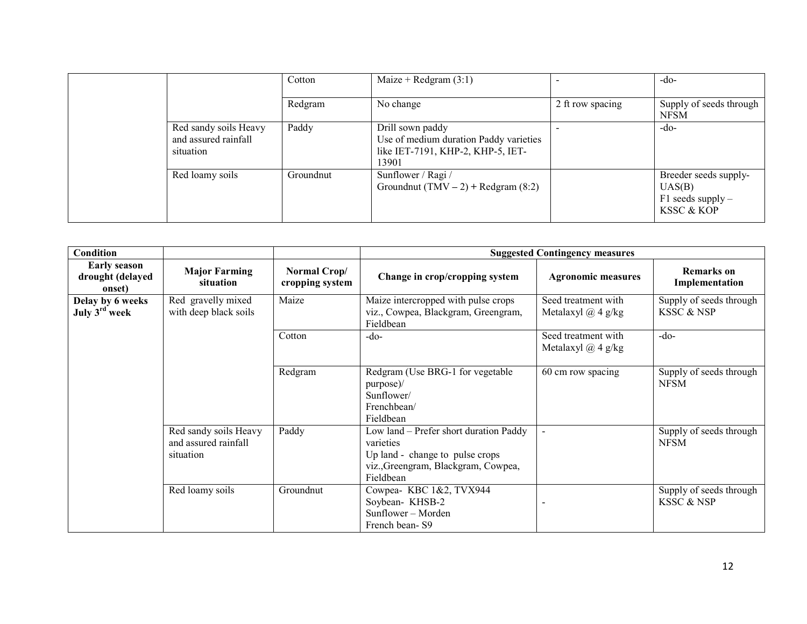|                                                            | Cotton    | Maize + Redgram $(3:1)$                                                                                  |                  | $-do-$                                                               |
|------------------------------------------------------------|-----------|----------------------------------------------------------------------------------------------------------|------------------|----------------------------------------------------------------------|
|                                                            | Redgram   | No change                                                                                                | 2 ft row spacing | Supply of seeds through<br><b>NFSM</b>                               |
| Red sandy soils Heavy<br>and assured rainfall<br>situation | Paddy     | Drill sown paddy<br>Use of medium duration Paddy varieties<br>like IET-7191, KHP-2, KHP-5, IET-<br>13901 |                  | $-do-$                                                               |
| Red loamy soils                                            | Groundnut | Sunflower / Ragi /<br>Groundnut (TMV – 2) + Redgram $(8:2)$                                              |                  | Breeder seeds supply-<br>UAS(B)<br>$F1$ seeds supply –<br>KSSC & KOP |

| Condition                                         |                                                            |                                 |                                                                                                                                            | <b>Suggested Contingency measures</b>         |                                                  |
|---------------------------------------------------|------------------------------------------------------------|---------------------------------|--------------------------------------------------------------------------------------------------------------------------------------------|-----------------------------------------------|--------------------------------------------------|
| <b>Early season</b><br>drought (delayed<br>onset) | <b>Major Farming</b><br>situation                          | Normal Crop/<br>cropping system | Change in crop/cropping system                                                                                                             | <b>Agronomic measures</b>                     | <b>Remarks</b> on<br>Implementation              |
| Delay by 6 weeks<br>July 3 <sup>rd</sup> week     | Red gravelly mixed<br>with deep black soils                | Maize                           | Maize intercropped with pulse crops<br>viz., Cowpea, Blackgram, Greengram,<br>Fieldbean                                                    | Seed treatment with<br>Metalaxyl $(a)$ 4 g/kg | Supply of seeds through<br><b>KSSC &amp; NSP</b> |
|                                                   |                                                            | Cotton                          | $-do-$                                                                                                                                     | Seed treatment with<br>Metalaxyl $(a)$ 4 g/kg | $-do-$                                           |
|                                                   |                                                            | Redgram                         | Redgram (Use BRG-1 for vegetable<br>purpose)/<br>Sunflower/<br>Frenchbean/<br>Fieldbean                                                    | 60 cm row spacing                             | Supply of seeds through<br><b>NFSM</b>           |
|                                                   | Red sandy soils Heavy<br>and assured rainfall<br>situation | Paddy                           | Low land - Prefer short duration Paddy<br>varieties<br>Up land - change to pulse crops<br>viz., Greengram, Blackgram, Cowpea,<br>Fieldbean | $\blacksquare$                                | Supply of seeds through<br><b>NFSM</b>           |
|                                                   | Red loamy soils                                            | Groundnut                       | Cowpea-KBC 1&2, TVX944<br>Soybean-KHSB-2<br>Sunflower – Morden<br>French bean-S9                                                           |                                               | Supply of seeds through<br>KSSC & NSP            |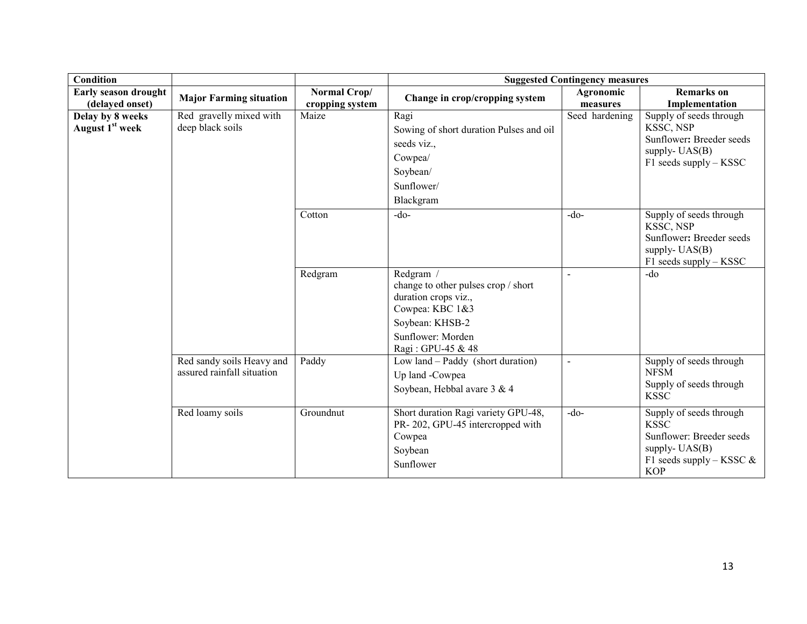| <b>Condition</b>                                |                                                         |                                 |                                                                                                                                                          | <b>Suggested Contingency measures</b> |                                                                                                                                     |
|-------------------------------------------------|---------------------------------------------------------|---------------------------------|----------------------------------------------------------------------------------------------------------------------------------------------------------|---------------------------------------|-------------------------------------------------------------------------------------------------------------------------------------|
| Early season drought<br>(delayed onset)         | <b>Major Farming situation</b>                          | Normal Crop/<br>cropping system | Change in crop/cropping system                                                                                                                           | Agronomic<br>measures                 | <b>Remarks</b> on<br>Implementation                                                                                                 |
| Delay by 8 weeks<br>August 1 <sup>st</sup> week | Red gravelly mixed with<br>deep black soils             | Maize                           | Ragi<br>Sowing of short duration Pulses and oil<br>seeds viz.,<br>Cowpea/<br>Soybean/<br>Sunflower/<br>Blackgram                                         | Seed hardening                        | Supply of seeds through<br>KSSC, NSP<br>Sunflower: Breeder seeds<br>supply- UAS(B)<br>$F1$ seeds supply – KSSC                      |
|                                                 |                                                         | Cotton                          | $-do-$                                                                                                                                                   | $-do$                                 | Supply of seeds through<br>KSSC, NSP<br>Sunflower: Breeder seeds<br>supply- $UAS(B)$<br>$F1$ seeds supply – KSSC                    |
|                                                 |                                                         | Redgram                         | Redgram /<br>change to other pulses crop / short<br>duration crops viz.,<br>Cowpea: KBC 1&3<br>Soybean: KHSB-2<br>Sunflower: Morden<br>Ragi: GPU-45 & 48 |                                       | $-d0$                                                                                                                               |
|                                                 | Red sandy soils Heavy and<br>assured rainfall situation | Paddy                           | Low land – Paddy (short duration)<br>Up land -Cowpea<br>Soybean, Hebbal avare 3 & 4                                                                      | $\blacksquare$                        | Supply of seeds through<br><b>NFSM</b><br>Supply of seeds through<br><b>KSSC</b>                                                    |
|                                                 | Red loamy soils                                         | Groundnut                       | Short duration Ragi variety GPU-48,<br>PR-202, GPU-45 intercropped with<br>Cowpea<br>Soybean<br>Sunflower                                                | $-do$                                 | Supply of seeds through<br><b>KSSC</b><br>Sunflower: Breeder seeds<br>supply- $UAS(B)$<br>F1 seeds supply – KSSC $\&$<br><b>KOP</b> |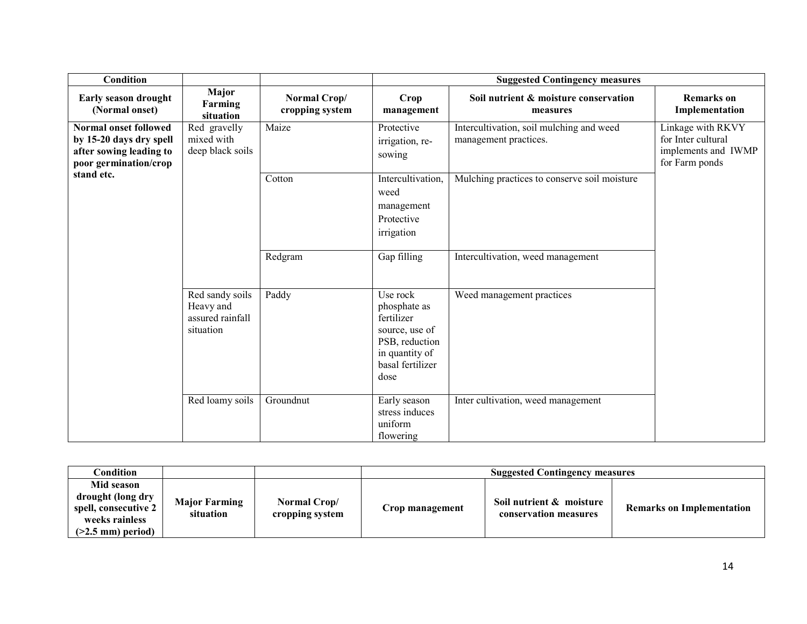| Condition                                                                                                   |                                                               |                                 |                                                                                                                          | <b>Suggested Contingency measures</b>                             |                                                                                  |
|-------------------------------------------------------------------------------------------------------------|---------------------------------------------------------------|---------------------------------|--------------------------------------------------------------------------------------------------------------------------|-------------------------------------------------------------------|----------------------------------------------------------------------------------|
| Early season drought<br>(Normal onset)                                                                      | Major<br>Farming<br>situation                                 | Normal Crop/<br>cropping system | Crop<br>management                                                                                                       | Soil nutrient & moisture conservation<br>measures                 | <b>Remarks</b> on<br>Implementation                                              |
| <b>Normal onset followed</b><br>by 15-20 days dry spell<br>after sowing leading to<br>poor germination/crop | Red gravelly<br>mixed with<br>deep black soils                | Maize                           | Protective<br>irrigation, re-<br>sowing                                                                                  | Intercultivation, soil mulching and weed<br>management practices. | Linkage with RKVY<br>for Inter cultural<br>implements and IWMP<br>for Farm ponds |
| stand etc.                                                                                                  |                                                               | Cotton                          | Intercultivation,<br>weed<br>management<br>Protective<br>irrigation                                                      | Mulching practices to conserve soil moisture                      |                                                                                  |
|                                                                                                             |                                                               | Redgram                         | Gap filling                                                                                                              | Intercultivation, weed management                                 |                                                                                  |
|                                                                                                             | Red sandy soils<br>Heavy and<br>assured rainfall<br>situation | Paddy                           | Use rock<br>phosphate as<br>fertilizer<br>source, use of<br>PSB, reduction<br>in quantity of<br>basal fertilizer<br>dose | Weed management practices                                         |                                                                                  |
|                                                                                                             | Red loamy soils                                               | Groundnut                       | Early season<br>stress induces<br>uniform<br>flowering                                                                   | Inter cultivation, weed management                                |                                                                                  |

| $\complement$ ondition                                                                           |                                   |                                 | <b>Suggested Contingency measures</b> |                                                   |                                  |  |  |
|--------------------------------------------------------------------------------------------------|-----------------------------------|---------------------------------|---------------------------------------|---------------------------------------------------|----------------------------------|--|--|
| Mid season<br>drought (long dry<br>spell, consecutive 2<br>weeks rainless<br>$(>2.5$ mm) period) | <b>Major Farming</b><br>situation | Normal Crop/<br>cropping system | Crop management                       | Soil nutrient & moisture<br>conservation measures | <b>Remarks on Implementation</b> |  |  |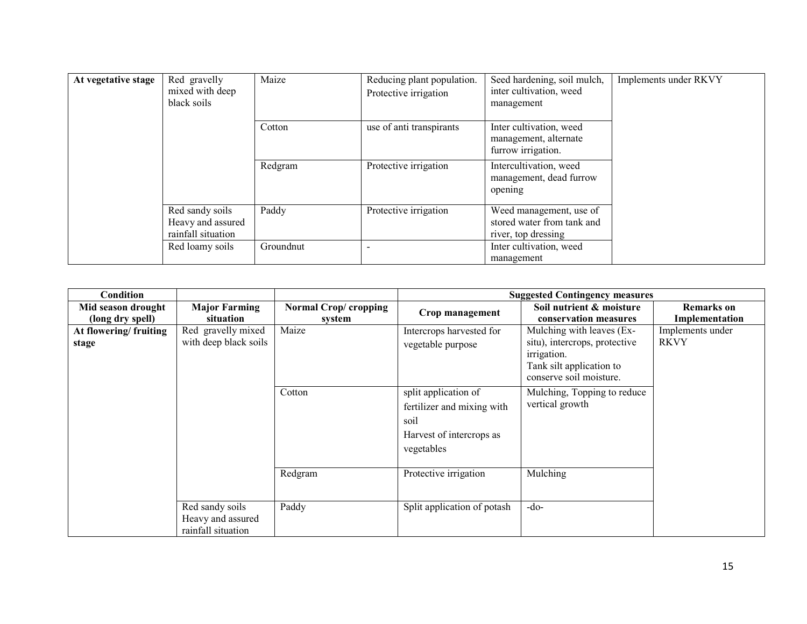| At vegetative stage | Red gravelly<br>mixed with deep<br>black soils             | Maize     | Reducing plant population.<br>Protective irrigation | Seed hardening, soil mulch,<br>inter cultivation, weed<br>management         | Implements under RKVY |
|---------------------|------------------------------------------------------------|-----------|-----------------------------------------------------|------------------------------------------------------------------------------|-----------------------|
|                     |                                                            | Cotton    | use of anti transpirants                            | Inter cultivation, weed<br>management, alternate<br>furrow irrigation.       |                       |
|                     |                                                            | Redgram   | Protective irrigation                               | Intercultivation, weed<br>management, dead furrow<br>opening                 |                       |
|                     | Red sandy soils<br>Heavy and assured<br>rainfall situation | Paddy     | Protective irrigation                               | Weed management, use of<br>stored water from tank and<br>river, top dressing |                       |
|                     | Red loamy soils                                            | Groundnut |                                                     | Inter cultivation, weed<br>management                                        |                       |

| <b>Condition</b>                       |                                                            |                                 |                                                                                                      | <b>Suggested Contingency measures</b>                                                                                            |                                     |
|----------------------------------------|------------------------------------------------------------|---------------------------------|------------------------------------------------------------------------------------------------------|----------------------------------------------------------------------------------------------------------------------------------|-------------------------------------|
| Mid season drought<br>(long dry spell) | <b>Major Farming</b><br>situation                          | Normal Crop/ cropping<br>system | Crop management                                                                                      | Soil nutrient & moisture<br>conservation measures                                                                                | <b>Remarks on</b><br>Implementation |
| At flowering/fruiting<br>stage         | Red gravelly mixed<br>with deep black soils                | Maize                           | Intercrops harvested for<br>vegetable purpose                                                        | Mulching with leaves (Ex-<br>situ), intercrops, protective<br>irrigation.<br>Tank silt application to<br>conserve soil moisture. | Implements under<br><b>RKVY</b>     |
|                                        |                                                            | Cotton                          | split application of<br>fertilizer and mixing with<br>soil<br>Harvest of intercrops as<br>vegetables | Mulching, Topping to reduce<br>vertical growth                                                                                   |                                     |
|                                        |                                                            | Redgram                         | Protective irrigation                                                                                | Mulching                                                                                                                         |                                     |
|                                        | Red sandy soils<br>Heavy and assured<br>rainfall situation | Paddy                           | Split application of potash                                                                          | $-do-$                                                                                                                           |                                     |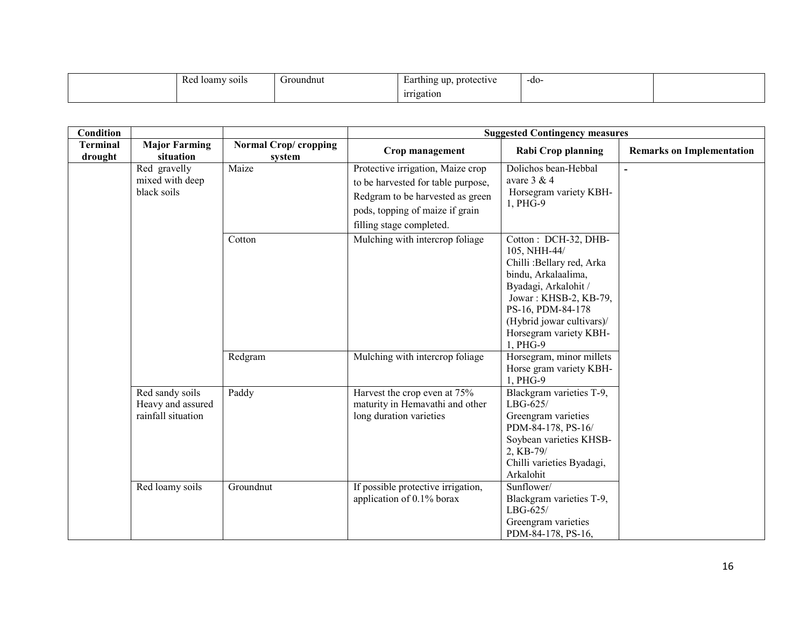| D <sub>od</sub><br>-loamv<br>SO <sub>1</sub> IS<br>nou | Groundnut | protective<br>up<br>Earthing<br>. . | -do- |  |
|--------------------------------------------------------|-----------|-------------------------------------|------|--|
|                                                        |           | irrigation                          |      |  |

| Condition                  |                                                            |                                       | <b>Suggested Contingency measures</b>                                                                                                                                      |                                                                                                                                                                                                                                   |                                  |
|----------------------------|------------------------------------------------------------|---------------------------------------|----------------------------------------------------------------------------------------------------------------------------------------------------------------------------|-----------------------------------------------------------------------------------------------------------------------------------------------------------------------------------------------------------------------------------|----------------------------------|
| <b>Terminal</b><br>drought | <b>Major Farming</b><br>situation                          | <b>Normal Crop/cropping</b><br>system | Crop management                                                                                                                                                            | <b>Rabi Crop planning</b>                                                                                                                                                                                                         | <b>Remarks on Implementation</b> |
|                            | Red gravelly<br>mixed with deep<br>black soils             | Maize                                 | Protective irrigation, Maize crop<br>to be harvested for table purpose,<br>Redgram to be harvested as green<br>pods, topping of maize if grain<br>filling stage completed. | Dolichos bean-Hebbal<br>avare $3 & 4$<br>Horsegram variety KBH-<br>1, PHG-9                                                                                                                                                       |                                  |
|                            |                                                            | Cotton                                | Mulching with intercrop foliage                                                                                                                                            | Cotton: DCH-32, DHB-<br>105, NHH-44/<br>Chilli: Bellary red, Arka<br>bindu, Arkalaalima,<br>Byadagi, Arkalohit /<br>Jowar: KHSB-2, KB-79,<br>PS-16, PDM-84-178<br>(Hybrid jowar cultivars)/<br>Horsegram variety KBH-<br>1, PHG-9 |                                  |
|                            |                                                            | Redgram                               | Mulching with intercrop foliage                                                                                                                                            | Horsegram, minor millets<br>Horse gram variety KBH-<br>1, PHG-9                                                                                                                                                                   |                                  |
|                            | Red sandy soils<br>Heavy and assured<br>rainfall situation | Paddy                                 | Harvest the crop even at 75%<br>maturity in Hemavathi and other<br>long duration varieties                                                                                 | Blackgram varieties T-9,<br>$LBG-625/$<br>Greengram varieties<br>PDM-84-178, PS-16/<br>Soybean varieties KHSB-<br>2, KB-79/<br>Chilli varieties Byadagi,<br>Arkalohit                                                             |                                  |
|                            | Red loamy soils                                            | Groundnut                             | If possible protective irrigation,<br>application of 0.1% borax                                                                                                            | Sunflower/<br>Blackgram varieties T-9,<br>$LBG-625/$<br>Greengram varieties<br>PDM-84-178, PS-16,                                                                                                                                 |                                  |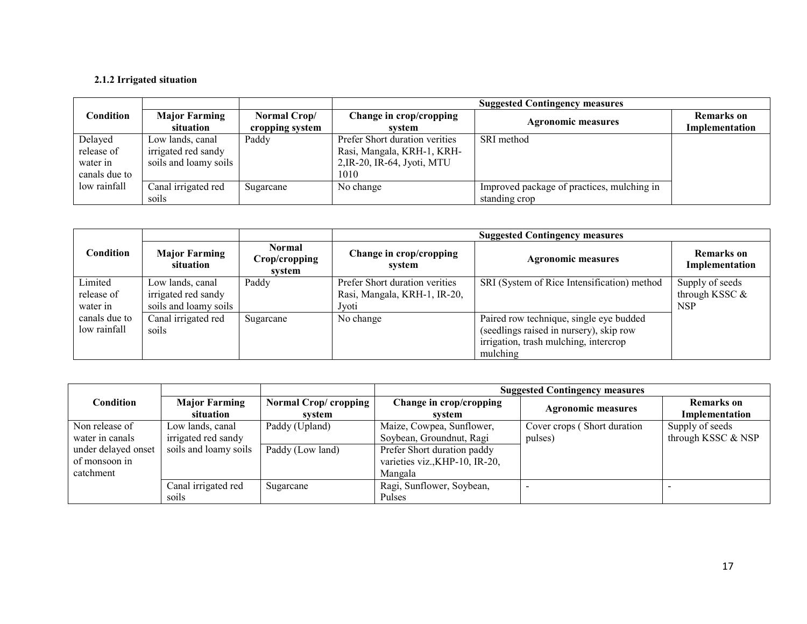#### 2.1.2 Irrigated situation

| <b>Suggested Contingency measures</b> |                                   |                                 |                                   |                                            |                                     |
|---------------------------------------|-----------------------------------|---------------------------------|-----------------------------------|--------------------------------------------|-------------------------------------|
| Condition                             | <b>Major Farming</b><br>situation | Normal Crop/<br>cropping system | Change in crop/cropping<br>system | <b>Agronomic measures</b>                  | <b>Remarks</b> on<br>Implementation |
| Delayed                               | Low lands, canal                  | Paddy                           | Prefer Short duration verities    | SRI method                                 |                                     |
| release of                            | irrigated red sandy               |                                 | Rasi, Mangala, KRH-1, KRH-        |                                            |                                     |
| water in                              | soils and loamy soils             |                                 | 2, IR-20, IR-64, Jyoti, MTU       |                                            |                                     |
| canals due to                         |                                   |                                 | 1010                              |                                            |                                     |
| low rainfall                          | Canal irrigated red               | Sugarcane                       | No change                         | Improved package of practices, mulching in |                                     |
|                                       | soils                             |                                 |                                   | standing crop                              |                                     |

|               |                                   |                                   | <b>Suggested Contingency measures</b> |                                             |                              |  |
|---------------|-----------------------------------|-----------------------------------|---------------------------------------|---------------------------------------------|------------------------------|--|
| Condition     | <b>Major Farming</b><br>situation | Normal<br>Crop/cropping<br>system | Change in crop/cropping<br>svstem     | <b>Agronomic measures</b>                   | Remarks on<br>Implementation |  |
| Limited       | Low lands, canal                  | Paddy                             | Prefer Short duration verities        | SRI (System of Rice Intensification) method | Supply of seeds              |  |
| release of    | irrigated red sandy               |                                   | Rasi, Mangala, KRH-1, IR-20,          |                                             | through KSSC $&$             |  |
| water in      | soils and loamy soils             |                                   | Jyoti                                 |                                             | <b>NSP</b>                   |  |
| canals due to | Canal irrigated red               | Sugarcane                         | No change                             | Paired row technique, single eye budded     |                              |  |
| low rainfall  | soils                             |                                   |                                       | (seedlings raised in nursery), skip row     |                              |  |
|               |                                   |                                   |                                       | irrigation, trash mulching, intercrop       |                              |  |
|               |                                   |                                   |                                       | mulching                                    |                              |  |

|                                      |                                   |                                | <b>Suggested Contingency measures</b>                         |                             |                                     |  |
|--------------------------------------|-----------------------------------|--------------------------------|---------------------------------------------------------------|-----------------------------|-------------------------------------|--|
| Condition                            | <b>Major Farming</b><br>situation | Normal Crop/cropping<br>system | Change in crop/cropping<br>system                             | <b>Agronomic measures</b>   | <b>Remarks</b> on<br>Implementation |  |
| Non release of                       | Low lands, canal                  | Paddy (Upland)                 | Maize, Cowpea, Sunflower,                                     | Cover crops (Short duration | Supply of seeds                     |  |
| water in canals                      | irrigated red sandy               |                                | Soybean, Groundnut, Ragi                                      | pulses)                     | through KSSC & NSP                  |  |
| under delayed onset<br>of monsoon in | soils and loamy soils             | Paddy (Low land)               | Prefer Short duration paddy<br>varieties viz., KHP-10, IR-20, |                             |                                     |  |
| catchment                            |                                   |                                | Mangala                                                       |                             |                                     |  |
|                                      | Canal irrigated red               | Sugarcane                      | Ragi, Sunflower, Soybean,                                     |                             |                                     |  |
|                                      | soils                             |                                | Pulses                                                        |                             |                                     |  |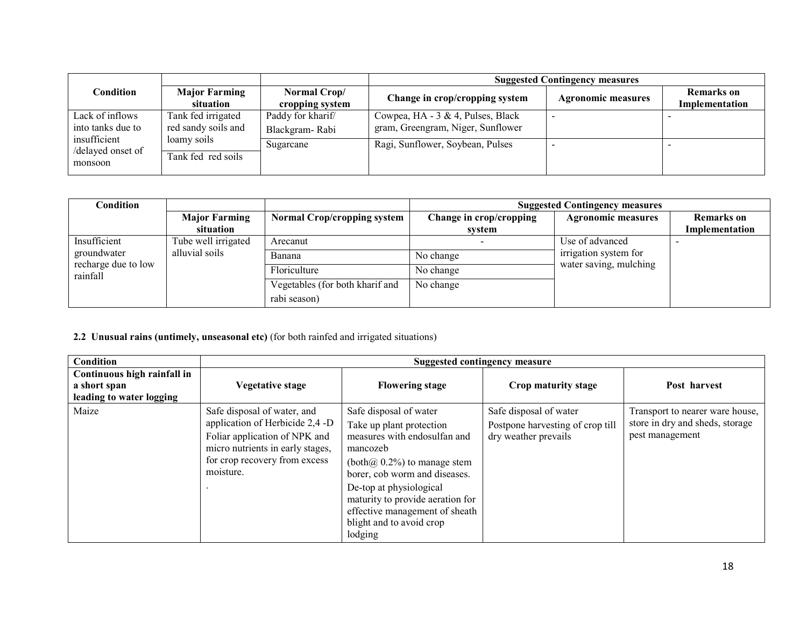|                                              |                                           |                                     | <b>Suggested Contingency measures</b>                                  |                           |                                     |  |
|----------------------------------------------|-------------------------------------------|-------------------------------------|------------------------------------------------------------------------|---------------------------|-------------------------------------|--|
| Condition                                    | <b>Major Farming</b><br>situation         | Normal Crop/<br>cropping system     | Change in crop/cropping system                                         | <b>Agronomic measures</b> | <b>Remarks</b> on<br>Implementation |  |
| Lack of inflows<br>into tanks due to         | Tank fed irrigated<br>red sandy soils and | Paddy for kharif/<br>Blackgram-Rabi | Cowpea, HA - 3 & 4, Pulses, Black<br>gram, Greengram, Niger, Sunflower |                           |                                     |  |
| insufficient<br>/delayed onset of<br>monsoon | loamy soils<br>Tank fed red soils         | Sugarcane                           | Ragi, Sunflower, Soybean, Pulses                                       |                           |                                     |  |

| Condition                       |                      |                                    |                         | <b>Suggested Contingency measures</b>           |                   |
|---------------------------------|----------------------|------------------------------------|-------------------------|-------------------------------------------------|-------------------|
|                                 | <b>Major Farming</b> | <b>Normal Crop/cropping system</b> | Change in crop/cropping | <b>Agronomic measures</b>                       | <b>Remarks</b> on |
|                                 | situation            |                                    | system                  |                                                 | Implementation    |
| Insufficient                    | Tube well irrigated  | Arecanut                           |                         | Use of advanced                                 |                   |
| groundwater                     | alluvial soils       | Banana                             | No change               | irrigation system for<br>water saving, mulching |                   |
| recharge due to low<br>rainfall |                      | Floriculture                       | No change               |                                                 |                   |
|                                 |                      | Vegetables (for both kharif and    | No change               |                                                 |                   |
|                                 |                      | rabi season)                       |                         |                                                 |                   |

#### 2.2 Unusual rains (untimely, unseasonal etc) (for both rainfed and irrigated situations)

| <b>Condition</b>                                                        |                                                                                                                                                                                   |                                                                                                                                                                                                                                                                                                           | Suggested contingency measure                                                      |                                                                                       |
|-------------------------------------------------------------------------|-----------------------------------------------------------------------------------------------------------------------------------------------------------------------------------|-----------------------------------------------------------------------------------------------------------------------------------------------------------------------------------------------------------------------------------------------------------------------------------------------------------|------------------------------------------------------------------------------------|---------------------------------------------------------------------------------------|
| Continuous high rainfall in<br>a short span<br>leading to water logging | <b>Vegetative stage</b>                                                                                                                                                           | <b>Flowering stage</b>                                                                                                                                                                                                                                                                                    | Crop maturity stage                                                                | Post harvest                                                                          |
| Maize                                                                   | Safe disposal of water, and<br>application of Herbicide 2,4 -D<br>Foliar application of NPK and<br>micro nutrients in early stages,<br>for crop recovery from excess<br>moisture. | Safe disposal of water<br>Take up plant protection<br>measures with endosulfan and<br>mancozeb<br>$(both@, 0.2%)$ to manage stem<br>borer, cob worm and diseases.<br>De-top at physiological<br>maturity to provide aeration for<br>effective management of sheath<br>blight and to avoid crop<br>lodging | Safe disposal of water<br>Postpone harvesting of crop till<br>dry weather prevails | Transport to nearer ware house,<br>store in dry and sheds, storage<br>pest management |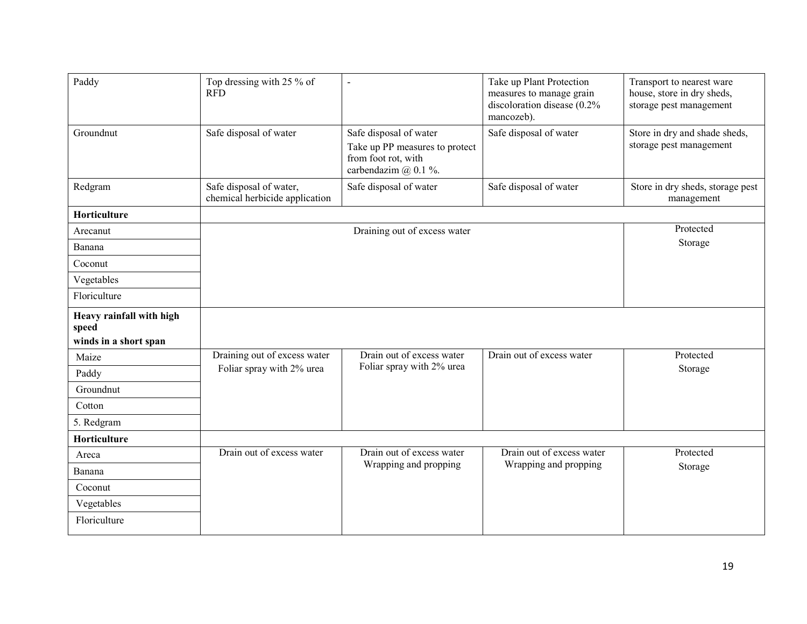| Paddy                                                      | Top dressing with 25 % of<br><b>RFD</b>                   | $\overline{a}$                                                                                          | Take up Plant Protection<br>measures to manage grain<br>discoloration disease (0.2%<br>mancozeb). | Transport to nearest ware<br>house, store in dry sheds,<br>storage pest management |
|------------------------------------------------------------|-----------------------------------------------------------|---------------------------------------------------------------------------------------------------------|---------------------------------------------------------------------------------------------------|------------------------------------------------------------------------------------|
| Groundnut                                                  | Safe disposal of water                                    | Safe disposal of water<br>Take up PP measures to protect<br>from foot rot, with<br>carbendazim @ 0.1 %. | Safe disposal of water                                                                            | Store in dry and shade sheds,<br>storage pest management                           |
| Redgram                                                    | Safe disposal of water,<br>chemical herbicide application | Safe disposal of water                                                                                  | Safe disposal of water                                                                            | Store in dry sheds, storage pest<br>management                                     |
| Horticulture                                               |                                                           |                                                                                                         |                                                                                                   |                                                                                    |
| Arecanut                                                   |                                                           | Draining out of excess water                                                                            |                                                                                                   | Protected                                                                          |
| Banana                                                     |                                                           |                                                                                                         |                                                                                                   | Storage                                                                            |
| Coconut                                                    |                                                           |                                                                                                         |                                                                                                   |                                                                                    |
| Vegetables                                                 |                                                           |                                                                                                         |                                                                                                   |                                                                                    |
| Floriculture                                               |                                                           |                                                                                                         |                                                                                                   |                                                                                    |
| Heavy rainfall with high<br>speed<br>winds in a short span |                                                           |                                                                                                         |                                                                                                   |                                                                                    |
| Maize                                                      | Draining out of excess water                              | Drain out of excess water                                                                               | Drain out of excess water                                                                         | Protected                                                                          |
| Paddy                                                      | Foliar spray with 2% urea                                 | Foliar spray with 2% urea                                                                               |                                                                                                   | Storage                                                                            |
| Groundnut                                                  |                                                           |                                                                                                         |                                                                                                   |                                                                                    |
| Cotton                                                     |                                                           |                                                                                                         |                                                                                                   |                                                                                    |
| 5. Redgram                                                 |                                                           |                                                                                                         |                                                                                                   |                                                                                    |
| Horticulture                                               |                                                           |                                                                                                         |                                                                                                   |                                                                                    |
| Areca                                                      | Drain out of excess water                                 | Drain out of excess water                                                                               | Drain out of excess water                                                                         | Protected                                                                          |
| Banana                                                     |                                                           | Wrapping and propping                                                                                   | Wrapping and propping                                                                             | Storage                                                                            |
| Coconut                                                    |                                                           |                                                                                                         |                                                                                                   |                                                                                    |
| Vegetables                                                 |                                                           |                                                                                                         |                                                                                                   |                                                                                    |
| Floriculture                                               |                                                           |                                                                                                         |                                                                                                   |                                                                                    |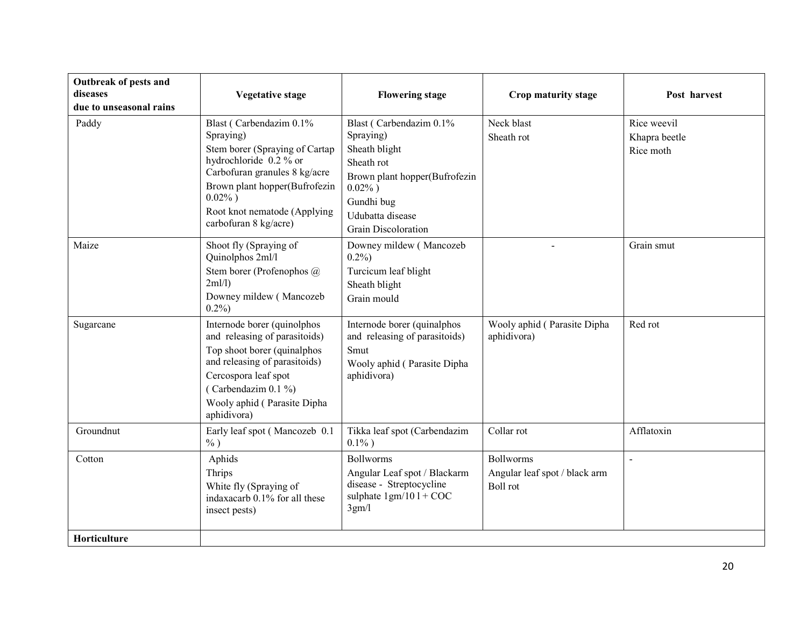| Outbreak of pests and<br>diseases<br>due to unseasonal rains | <b>Vegetative stage</b>                                                                                                                                                                                                                    | <b>Flowering stage</b>                                                                                                                                                              | Crop maturity stage                                                  | Post harvest                              |
|--------------------------------------------------------------|--------------------------------------------------------------------------------------------------------------------------------------------------------------------------------------------------------------------------------------------|-------------------------------------------------------------------------------------------------------------------------------------------------------------------------------------|----------------------------------------------------------------------|-------------------------------------------|
| Paddy                                                        | Blast (Carbendazim 0.1%)<br>Spraying)<br>Stem borer (Spraying of Cartap<br>hydrochloride 0.2 % or<br>Carbofuran granules 8 kg/acre<br>Brown plant hopper(Bufrofezin<br>$0.02\%$ )<br>Root knot nematode (Applying<br>carbofuran 8 kg/acre) | Blast (Carbendazim 0.1%)<br>Spraying)<br>Sheath blight<br>Sheath rot<br>Brown plant hopper(Bufrofezin<br>$0.02\%$ )<br>Gundhi bug<br>Udubatta disease<br><b>Grain Discoloration</b> | Neck blast<br>Sheath rot                                             | Rice weevil<br>Khapra beetle<br>Rice moth |
| Maize                                                        | Shoot fly (Spraying of<br>Quinolphos 2ml/l<br>Stem borer (Profenophos @<br>2ml/l)<br>Downey mildew (Mancozeb<br>0.2%                                                                                                                       | Downey mildew (Mancozeb<br>$0.2\%$<br>Turcicum leaf blight<br>Sheath blight<br>Grain mould                                                                                          |                                                                      | Grain smut                                |
| Sugarcane                                                    | Internode borer (quinolphos<br>and releasing of parasitoids)<br>Top shoot borer (quinalphos<br>and releasing of parasitoids)<br>Cercospora leaf spot<br>(Carbendazim $0.1\%$ )<br>Wooly aphid (Parasite Dipha<br>aphidivora)               | Internode borer (quinalphos<br>and releasing of parasitoids)<br>Smut<br>Wooly aphid (Parasite Dipha<br>aphidivora)                                                                  | Wooly aphid (Parasite Dipha<br>aphidivora)                           | Red rot                                   |
| Groundnut                                                    | Early leaf spot (Mancozeb 0.1<br>$\%$ )                                                                                                                                                                                                    | Tikka leaf spot (Carbendazim<br>$0.1\%$ )                                                                                                                                           | Collar rot                                                           | Afflatoxin                                |
| Cotton<br>Horticulture                                       | Aphids<br>Thrips<br>White fly (Spraying of<br>indaxacarb 0.1% for all these<br>insect pests)                                                                                                                                               | <b>Bollworms</b><br>Angular Leaf spot / Blackarm<br>disease - Streptocycline<br>sulphate $1gm/101 + COC$<br>3gm/l                                                                   | <b>Bollworms</b><br>Angular leaf spot / black arm<br><b>Boll</b> rot |                                           |
|                                                              |                                                                                                                                                                                                                                            |                                                                                                                                                                                     |                                                                      |                                           |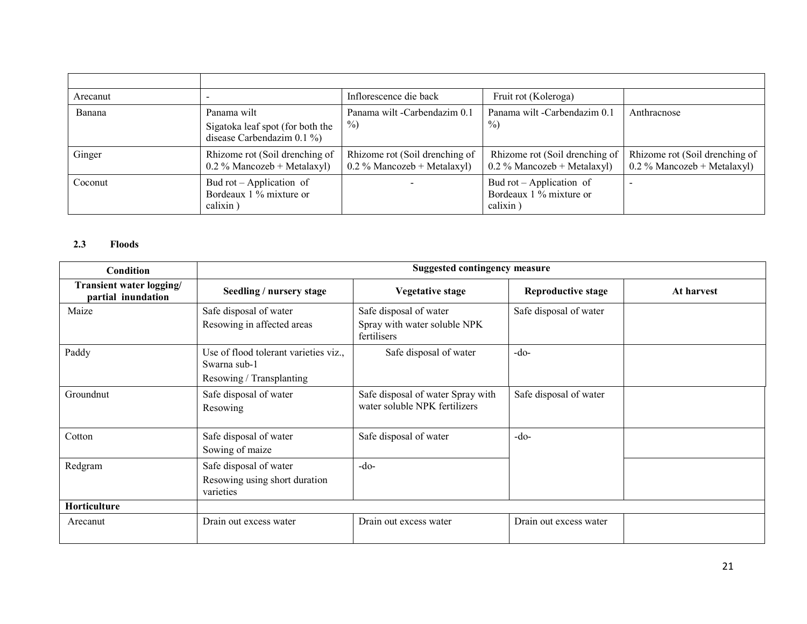| Arecanut |                                                                                  | Inflorescence die back                                          | Fruit rot (Koleroga)                                            |                                                                 |
|----------|----------------------------------------------------------------------------------|-----------------------------------------------------------------|-----------------------------------------------------------------|-----------------------------------------------------------------|
| Banana   | Panama wilt<br>Sigatoka leaf spot (for both the<br>disease Carbendazim $0.1\%$ ) | Panama wilt-Carbendazim 0.1<br>$\frac{9}{0}$                    | Panama wilt -Carbendazim 0.1<br>$\%$                            | Anthracnose                                                     |
| Ginger   | Rhizome rot (Soil drenching of<br>$0.2\%$ Mancozeb + Metalaxyl)                  | Rhizome rot (Soil drenching of<br>$0.2\%$ Mancozeb + Metalaxyl) | Rhizome rot (Soil drenching of<br>$0.2\%$ Mancozeb + Metalaxyl) | Rhizome rot (Soil drenching of<br>$0.2\%$ Mancozeb + Metalaxyl) |
| Coconut  | Bud rot – Application of<br>Bordeaux 1 % mixture or<br>calixin)                  |                                                                 | Bud rot – Application of<br>Bordeaux 1 % mixture or<br>calixin) |                                                                 |

### 2.3 Floods

| Condition                                      | <b>Suggested contingency measure</b>                                              |                                                                       |                           |            |  |
|------------------------------------------------|-----------------------------------------------------------------------------------|-----------------------------------------------------------------------|---------------------------|------------|--|
| Transient water logging/<br>partial inundation | Seedling / nursery stage                                                          | <b>Vegetative stage</b>                                               | <b>Reproductive stage</b> | At harvest |  |
| Maize                                          | Safe disposal of water<br>Resowing in affected areas                              | Safe disposal of water<br>Spray with water soluble NPK<br>fertilisers | Safe disposal of water    |            |  |
| Paddy                                          | Use of flood tolerant varieties viz.,<br>Swarna sub-1<br>Resowing / Transplanting | Safe disposal of water                                                | $-do-$                    |            |  |
| Groundnut                                      | Safe disposal of water<br>Resowing                                                | Safe disposal of water Spray with<br>water soluble NPK fertilizers    | Safe disposal of water    |            |  |
| Cotton                                         | Safe disposal of water<br>Sowing of maize                                         | Safe disposal of water                                                | $-do-$                    |            |  |
| Redgram                                        | Safe disposal of water<br>Resowing using short duration<br>varieties              | $-do-$                                                                |                           |            |  |
| Horticulture                                   |                                                                                   |                                                                       |                           |            |  |
| Arecanut                                       | Drain out excess water                                                            | Drain out excess water                                                | Drain out excess water    |            |  |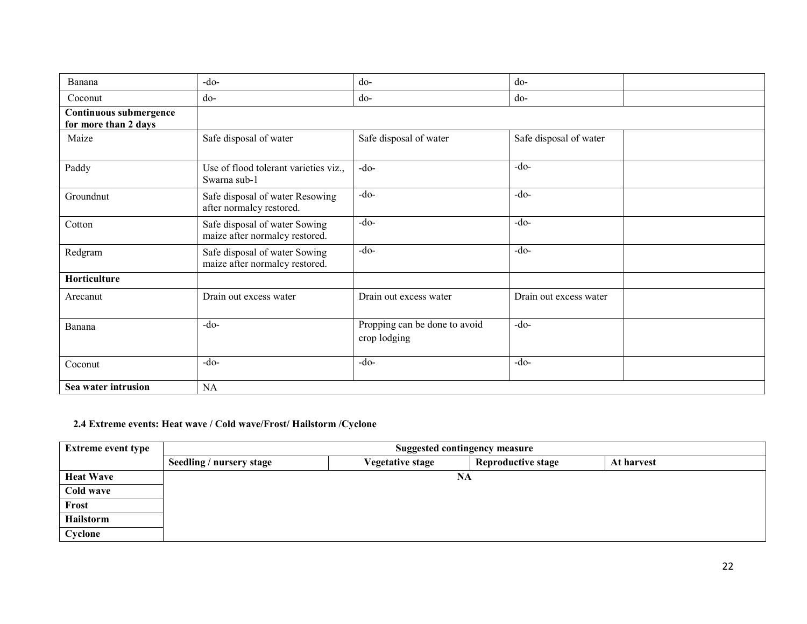| Banana                                         | $-do-$                                                          | d <sub>o</sub>                                | $do-$                  |  |
|------------------------------------------------|-----------------------------------------------------------------|-----------------------------------------------|------------------------|--|
| Coconut                                        | $d_{0}$ -                                                       | do-                                           | do-                    |  |
| Continuous submergence<br>for more than 2 days |                                                                 |                                               |                        |  |
| Maize                                          | Safe disposal of water                                          | Safe disposal of water                        | Safe disposal of water |  |
| Paddy                                          | Use of flood tolerant varieties viz.,<br>Swarna sub-1           | $-do$                                         | $-do-$                 |  |
| Groundnut                                      | Safe disposal of water Resowing<br>after normalcy restored.     | $-do-$                                        | $-do-$                 |  |
| Cotton                                         | Safe disposal of water Sowing<br>maize after normalcy restored. | $-do-$                                        | $-do-$                 |  |
| Redgram                                        | Safe disposal of water Sowing<br>maize after normalcy restored. | $-do-$                                        | $-do-$                 |  |
| Horticulture                                   |                                                                 |                                               |                        |  |
| Arecanut                                       | Drain out excess water                                          | Drain out excess water                        | Drain out excess water |  |
| Banana                                         | $-do-$                                                          | Propping can be done to avoid<br>crop lodging | $-do-$                 |  |
| Coconut                                        | $-do-$                                                          | $-do-$                                        | $-do-$                 |  |
| Sea water intrusion                            | NA                                                              |                                               |                        |  |

## 2.4 Extreme events: Heat wave / Cold wave/Frost/ Hailstorm /Cyclone

| <b>Extreme event type</b> | <b>Suggested contingency measure</b> |                         |                           |            |  |
|---------------------------|--------------------------------------|-------------------------|---------------------------|------------|--|
|                           | Seedling / nursery stage             | <b>Vegetative stage</b> | <b>Reproductive stage</b> | At harvest |  |
| <b>Heat Wave</b>          |                                      |                         | NA                        |            |  |
| Cold wave                 |                                      |                         |                           |            |  |
| Frost                     |                                      |                         |                           |            |  |
| Hailstorm                 |                                      |                         |                           |            |  |
| Cyclone                   |                                      |                         |                           |            |  |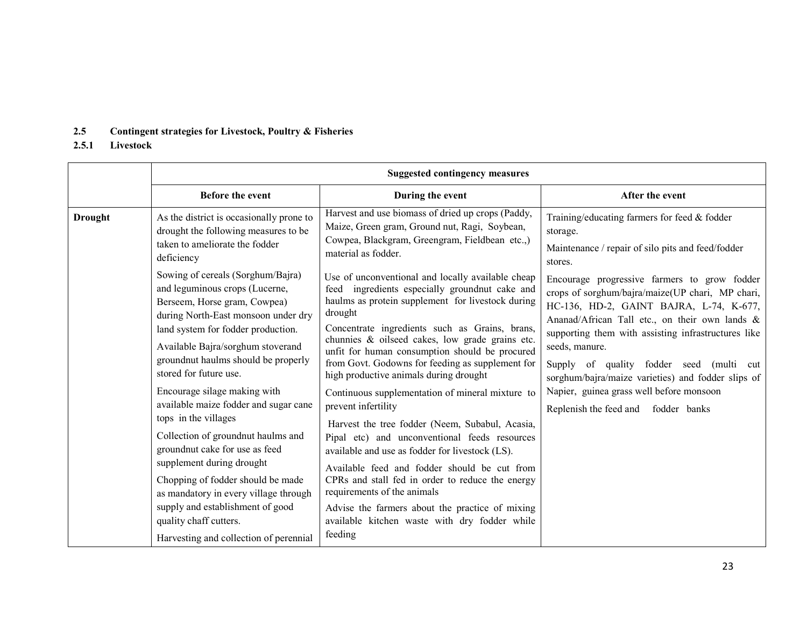### 2.5 Contingent strategies for Livestock, Poultry & Fisheries

#### 2.5.1Livestock

|                | <b>Suggested contingency measures</b>                                                                                                                                                                                                                                                                                                                                                                                                                                                                                                                                      |                                                                                                                                                                                                                                                                                                                                                                                                                                                                                                                                                                                                                                                                                                                                                                                               |                                                                                                                                                                                                                                                                                                                                                                                                                                                             |
|----------------|----------------------------------------------------------------------------------------------------------------------------------------------------------------------------------------------------------------------------------------------------------------------------------------------------------------------------------------------------------------------------------------------------------------------------------------------------------------------------------------------------------------------------------------------------------------------------|-----------------------------------------------------------------------------------------------------------------------------------------------------------------------------------------------------------------------------------------------------------------------------------------------------------------------------------------------------------------------------------------------------------------------------------------------------------------------------------------------------------------------------------------------------------------------------------------------------------------------------------------------------------------------------------------------------------------------------------------------------------------------------------------------|-------------------------------------------------------------------------------------------------------------------------------------------------------------------------------------------------------------------------------------------------------------------------------------------------------------------------------------------------------------------------------------------------------------------------------------------------------------|
|                | <b>Before the event</b>                                                                                                                                                                                                                                                                                                                                                                                                                                                                                                                                                    | During the event                                                                                                                                                                                                                                                                                                                                                                                                                                                                                                                                                                                                                                                                                                                                                                              | After the event                                                                                                                                                                                                                                                                                                                                                                                                                                             |
| <b>Drought</b> | As the district is occasionally prone to<br>drought the following measures to be<br>taken to ameliorate the fodder<br>deficiency                                                                                                                                                                                                                                                                                                                                                                                                                                           | Harvest and use biomass of dried up crops (Paddy,<br>Maize, Green gram, Ground nut, Ragi, Soybean,<br>Cowpea, Blackgram, Greengram, Fieldbean etc.,)<br>material as fodder.                                                                                                                                                                                                                                                                                                                                                                                                                                                                                                                                                                                                                   | Training/educating farmers for feed & fodder<br>storage.<br>Maintenance / repair of silo pits and feed/fodder<br>stores.                                                                                                                                                                                                                                                                                                                                    |
|                | Sowing of cereals (Sorghum/Bajra)<br>and leguminous crops (Lucerne,<br>Berseem, Horse gram, Cowpea)<br>during North-East monsoon under dry<br>land system for fodder production.<br>Available Bajra/sorghum stoverand<br>groundnut haulms should be properly<br>stored for future use.<br>Encourage silage making with<br>available maize fodder and sugar cane<br>tops in the villages<br>Collection of groundnut haulms and<br>groundnut cake for use as feed<br>supplement during drought<br>Chopping of fodder should be made<br>as mandatory in every village through | Use of unconventional and locally available cheap<br>feed ingredients especially groundnut cake and<br>haulms as protein supplement for livestock during<br>drought<br>Concentrate ingredients such as Grains, brans,<br>chunnies & oilseed cakes, low grade grains etc.<br>unfit for human consumption should be procured<br>from Govt. Godowns for feeding as supplement for<br>high productive animals during drought<br>Continuous supplementation of mineral mixture to<br>prevent infertility<br>Harvest the tree fodder (Neem, Subabul, Acasia,<br>Pipal etc) and unconventional feeds resources<br>available and use as fodder for livestock (LS).<br>Available feed and fodder should be cut from<br>CPRs and stall fed in order to reduce the energy<br>requirements of the animals | Encourage progressive farmers to grow fodder<br>crops of sorghum/bajra/maize(UP chari, MP chari,<br>HC-136, HD-2, GAINT BAJRA, L-74, K-677,<br>Ananad/African Tall etc., on their own lands &<br>supporting them with assisting infrastructures like<br>seeds, manure.<br>Supply of quality fodder seed (multi cut<br>sorghum/bajra/maize varieties) and fodder slips of<br>Napier, guinea grass well before monsoon<br>Replenish the feed and fodder banks |
|                | supply and establishment of good<br>quality chaff cutters.<br>Harvesting and collection of perennial                                                                                                                                                                                                                                                                                                                                                                                                                                                                       | Advise the farmers about the practice of mixing<br>available kitchen waste with dry fodder while<br>feeding                                                                                                                                                                                                                                                                                                                                                                                                                                                                                                                                                                                                                                                                                   |                                                                                                                                                                                                                                                                                                                                                                                                                                                             |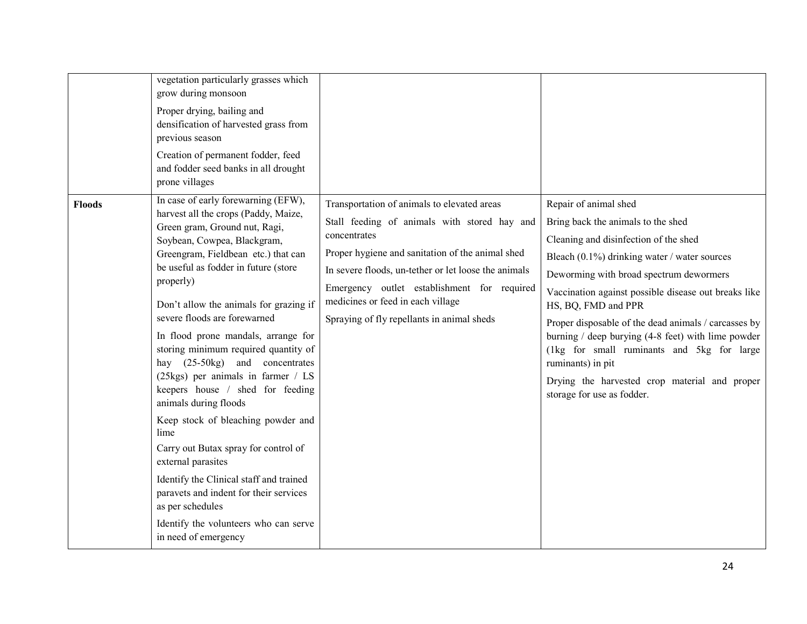|               | vegetation particularly grasses which<br>grow during monsoon<br>Proper drying, bailing and<br>densification of harvested grass from<br>previous season<br>Creation of permanent fodder, feed<br>and fodder seed banks in all drought<br>prone villages<br>In case of early forewarning (EFW),                                                                                                                                                                                                                                                                                                                                                                                                                                                                                        |                                                                                                                                                                                                                                                                                                                                                           |                                                                                                                                                                                                                                                                                                                                                                                                                                                                                                                                                     |
|---------------|--------------------------------------------------------------------------------------------------------------------------------------------------------------------------------------------------------------------------------------------------------------------------------------------------------------------------------------------------------------------------------------------------------------------------------------------------------------------------------------------------------------------------------------------------------------------------------------------------------------------------------------------------------------------------------------------------------------------------------------------------------------------------------------|-----------------------------------------------------------------------------------------------------------------------------------------------------------------------------------------------------------------------------------------------------------------------------------------------------------------------------------------------------------|-----------------------------------------------------------------------------------------------------------------------------------------------------------------------------------------------------------------------------------------------------------------------------------------------------------------------------------------------------------------------------------------------------------------------------------------------------------------------------------------------------------------------------------------------------|
| <b>Floods</b> | harvest all the crops (Paddy, Maize,<br>Green gram, Ground nut, Ragi,<br>Soybean, Cowpea, Blackgram,<br>Greengram, Fieldbean etc.) that can<br>be useful as fodder in future (store<br>properly)<br>Don't allow the animals for grazing if<br>severe floods are forewarned<br>In flood prone mandals, arrange for<br>storing minimum required quantity of<br>hay (25-50kg) and concentrates<br>(25kgs) per animals in farmer / LS<br>keepers house / shed for feeding<br>animals during floods<br>Keep stock of bleaching powder and<br>lime<br>Carry out Butax spray for control of<br>external parasites<br>Identify the Clinical staff and trained<br>paravets and indent for their services<br>as per schedules<br>Identify the volunteers who can serve<br>in need of emergency | Transportation of animals to elevated areas<br>Stall feeding of animals with stored hay and<br>concentrates<br>Proper hygiene and sanitation of the animal shed<br>In severe floods, un-tether or let loose the animals<br>Emergency outlet establishment for required<br>medicines or feed in each village<br>Spraying of fly repellants in animal sheds | Repair of animal shed<br>Bring back the animals to the shed<br>Cleaning and disinfection of the shed<br>Bleach $(0.1\%)$ drinking water / water sources<br>Deworming with broad spectrum dewormers<br>Vaccination against possible disease out breaks like<br>HS, BQ, FMD and PPR<br>Proper disposable of the dead animals / carcasses by<br>burning $/$ deep burying (4-8 feet) with lime powder<br>(1kg for small ruminants and 5kg for large<br>ruminants) in pit<br>Drying the harvested crop material and proper<br>storage for use as fodder. |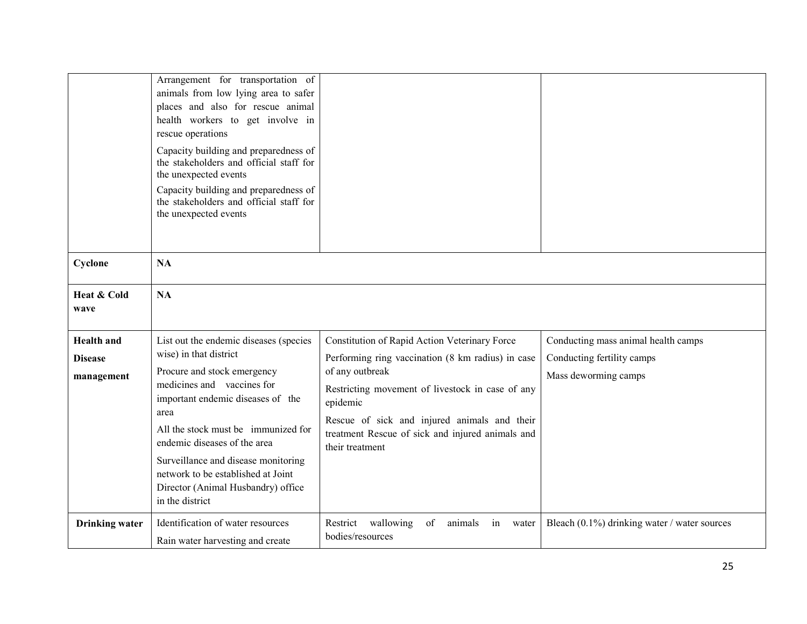|                                                   | Arrangement for transportation of<br>animals from low lying area to safer<br>places and also for rescue animal<br>health workers to get involve in<br>rescue operations<br>Capacity building and preparedness of<br>the stakeholders and official staff for<br>the unexpected events<br>Capacity building and preparedness of<br>the stakeholders and official staff for<br>the unexpected events |                                                                                                                                                                                                                                                                                                              |                                                                                           |
|---------------------------------------------------|---------------------------------------------------------------------------------------------------------------------------------------------------------------------------------------------------------------------------------------------------------------------------------------------------------------------------------------------------------------------------------------------------|--------------------------------------------------------------------------------------------------------------------------------------------------------------------------------------------------------------------------------------------------------------------------------------------------------------|-------------------------------------------------------------------------------------------|
| Cyclone                                           | <b>NA</b>                                                                                                                                                                                                                                                                                                                                                                                         |                                                                                                                                                                                                                                                                                                              |                                                                                           |
| Heat & Cold<br>wave                               | <b>NA</b>                                                                                                                                                                                                                                                                                                                                                                                         |                                                                                                                                                                                                                                                                                                              |                                                                                           |
| <b>Health</b> and<br><b>Disease</b><br>management | List out the endemic diseases (species<br>wise) in that district<br>Procure and stock emergency<br>medicines and vaccines for<br>important endemic diseases of the<br>area<br>All the stock must be immunized for<br>endemic diseases of the area<br>Surveillance and disease monitoring<br>network to be established at Joint<br>Director (Animal Husbandry) office<br>in the district           | Constitution of Rapid Action Veterinary Force<br>Performing ring vaccination (8 km radius) in case<br>of any outbreak<br>Restricting movement of livestock in case of any<br>epidemic<br>Rescue of sick and injured animals and their<br>treatment Rescue of sick and injured animals and<br>their treatment | Conducting mass animal health camps<br>Conducting fertility camps<br>Mass deworming camps |
| <b>Drinking</b> water                             | Identification of water resources<br>Rain water harvesting and create                                                                                                                                                                                                                                                                                                                             | of<br>Restrict wallowing<br>animals<br>in<br>water<br>bodies/resources                                                                                                                                                                                                                                       | Bleach $(0.1\%)$ drinking water / water sources                                           |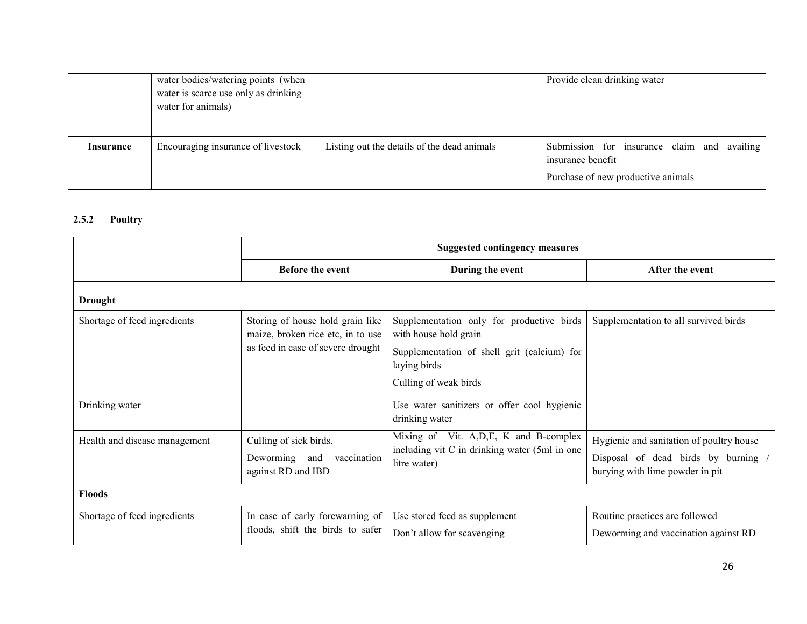|                  | water bodies/watering points (when<br>water is scarce use only as drinking<br>water for animals) |                                             | Provide clean drinking water                                                                           |
|------------------|--------------------------------------------------------------------------------------------------|---------------------------------------------|--------------------------------------------------------------------------------------------------------|
| <b>Insurance</b> | Encouraging insurance of livestock                                                               | Listing out the details of the dead animals | Submission for insurance claim and availing<br>insurance benefit<br>Purchase of new productive animals |

### 2.5.2 Poultry

|                               | <b>Suggested contingency measures</b>                                                                      |                                                                                                                                                            |                                                                                                                  |
|-------------------------------|------------------------------------------------------------------------------------------------------------|------------------------------------------------------------------------------------------------------------------------------------------------------------|------------------------------------------------------------------------------------------------------------------|
|                               | <b>Before the event</b>                                                                                    | During the event                                                                                                                                           | After the event                                                                                                  |
| <b>Drought</b>                |                                                                                                            |                                                                                                                                                            |                                                                                                                  |
| Shortage of feed ingredients  | Storing of house hold grain like<br>maize, broken rice etc, in to use<br>as feed in case of severe drought | Supplementation only for productive birds<br>with house hold grain<br>Supplementation of shell grit (calcium) for<br>laying birds<br>Culling of weak birds | Supplementation to all survived birds                                                                            |
| Drinking water                |                                                                                                            | Use water sanitizers or offer cool hygienic<br>drinking water                                                                                              |                                                                                                                  |
| Health and disease management | Culling of sick birds.<br>Deworming and<br>vaccination<br>against RD and IBD                               | Mixing of Vit. A, D, E, K and B-complex<br>including vit C in drinking water (5ml in one<br>litre water)                                                   | Hygienic and sanitation of poultry house<br>Disposal of dead birds by burning<br>burying with lime powder in pit |
| <b>Floods</b>                 |                                                                                                            |                                                                                                                                                            |                                                                                                                  |
| Shortage of feed ingredients  | In case of early forewarning of<br>floods, shift the birds to safer                                        | Use stored feed as supplement<br>Don't allow for scavenging                                                                                                | Routine practices are followed<br>Deworming and vaccination against RD                                           |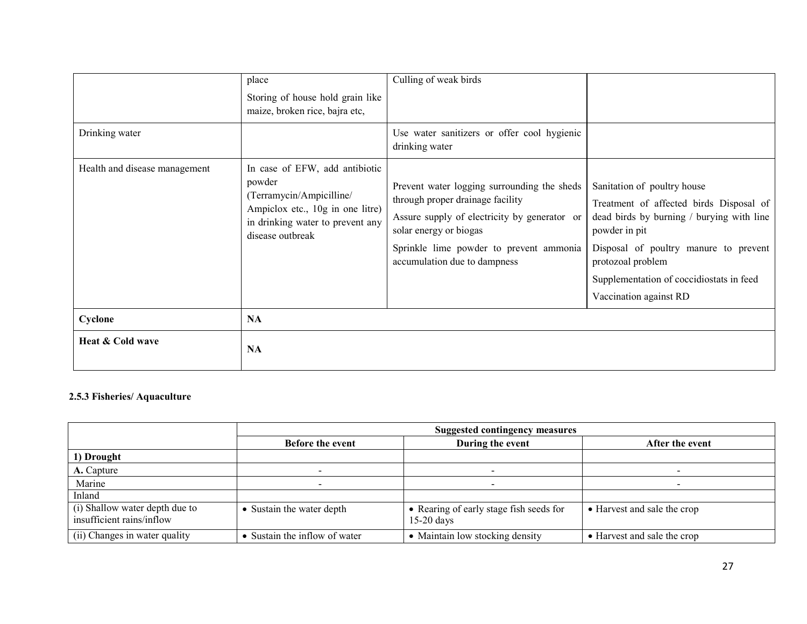| Drinking water                | place<br>Storing of house hold grain like<br>maize, broken rice, bajra etc,                                                                                      | Culling of weak birds<br>Use water sanitizers or offer cool hygienic<br>drinking water                                                                                                                                               |                                                                                                                                                                                                                                                                          |
|-------------------------------|------------------------------------------------------------------------------------------------------------------------------------------------------------------|--------------------------------------------------------------------------------------------------------------------------------------------------------------------------------------------------------------------------------------|--------------------------------------------------------------------------------------------------------------------------------------------------------------------------------------------------------------------------------------------------------------------------|
| Health and disease management | In case of EFW, add antibiotic<br>powder<br>(Terramycin/Ampicilline/<br>Ampiclox etc., 10g in one litre)<br>in drinking water to prevent any<br>disease outbreak | Prevent water logging surrounding the sheds<br>through proper drainage facility<br>Assure supply of electricity by generator or<br>solar energy or biogas<br>Sprinkle lime powder to prevent ammonia<br>accumulation due to dampness | Sanitation of poultry house<br>Treatment of affected birds Disposal of<br>dead birds by burning / burying with line<br>powder in pit<br>Disposal of poultry manure to prevent<br>protozoal problem<br>Supplementation of coccidiostats in feed<br>Vaccination against RD |
| Cyclone                       | NA                                                                                                                                                               |                                                                                                                                                                                                                                      |                                                                                                                                                                                                                                                                          |
| Heat & Cold wave              | <b>NA</b>                                                                                                                                                        |                                                                                                                                                                                                                                      |                                                                                                                                                                                                                                                                          |

#### 2.5.3 Fisheries/ Aquaculture

|                                                             | <b>Suggested contingency measures</b> |                                                         |                             |
|-------------------------------------------------------------|---------------------------------------|---------------------------------------------------------|-----------------------------|
|                                                             | <b>Before the event</b>               | During the event                                        | After the event             |
| 1) Drought                                                  |                                       |                                                         |                             |
| A. Capture                                                  |                                       |                                                         |                             |
| Marine                                                      |                                       |                                                         |                             |
| Inland                                                      |                                       |                                                         |                             |
| (i) Shallow water depth due to<br>insufficient rains/inflow | Sustain the water depth               | • Rearing of early stage fish seeds for<br>$15-20$ days | • Harvest and sale the crop |
| (ii) Changes in water quality                               | Sustain the inflow of water           | Maintain low stocking density                           | • Harvest and sale the crop |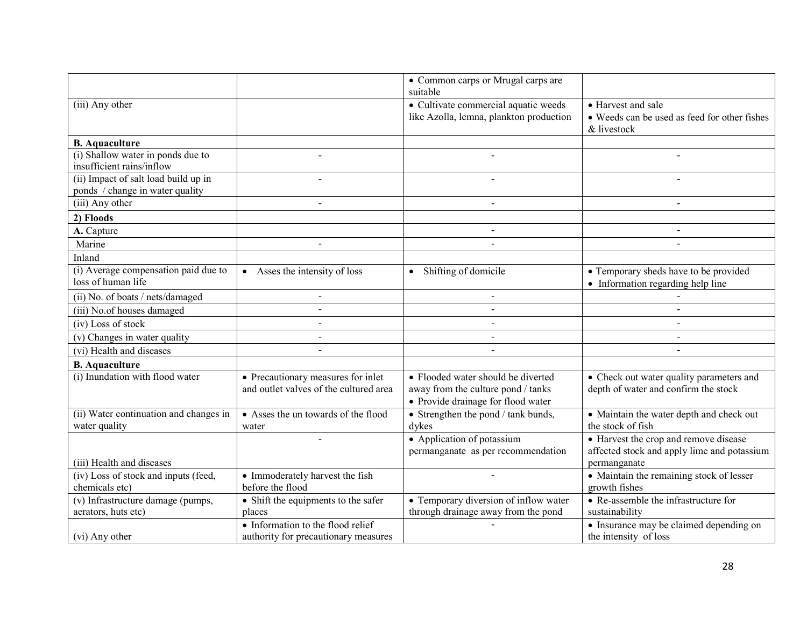|                                                                         |                                                                              | • Common carps or Mrugal carps are<br>suitable                                                                 |                                                                                                      |
|-------------------------------------------------------------------------|------------------------------------------------------------------------------|----------------------------------------------------------------------------------------------------------------|------------------------------------------------------------------------------------------------------|
| (iii) Any other                                                         |                                                                              | • Cultivate commercial aquatic weeds<br>like Azolla, lemna, plankton production                                | • Harvest and sale<br>• Weeds can be used as feed for other fishes<br>& livestock                    |
| <b>B.</b> Aquaculture                                                   |                                                                              |                                                                                                                |                                                                                                      |
| (i) Shallow water in ponds due to<br>insufficient rains/inflow          | $\overline{a}$                                                               |                                                                                                                |                                                                                                      |
| (ii) Impact of salt load build up in<br>ponds / change in water quality | $\blacksquare$                                                               |                                                                                                                |                                                                                                      |
| (iii) Any other                                                         | $\blacksquare$                                                               |                                                                                                                | $\blacksquare$                                                                                       |
| 2) Floods                                                               |                                                                              |                                                                                                                |                                                                                                      |
| A. Capture                                                              |                                                                              | $\blacksquare$                                                                                                 | $\blacksquare$                                                                                       |
| Marine                                                                  | $\blacksquare$                                                               |                                                                                                                | $\overline{a}$                                                                                       |
| Inland                                                                  |                                                                              |                                                                                                                |                                                                                                      |
| (i) Average compensation paid due to<br>loss of human life              | • Asses the intensity of loss                                                | • Shifting of domicile                                                                                         | • Temporary sheds have to be provided<br>• Information regarding help line                           |
| (ii) No. of boats / nets/damaged                                        | $\blacksquare$                                                               | $\blacksquare$                                                                                                 |                                                                                                      |
| (iii) No.of houses damaged                                              | $\blacksquare$                                                               |                                                                                                                |                                                                                                      |
| (iv) Loss of stock                                                      | $\blacksquare$                                                               | $\sim$                                                                                                         | $\sim$                                                                                               |
| (v) Changes in water quality                                            | $\blacksquare$                                                               | $\overline{a}$                                                                                                 | $\overline{a}$                                                                                       |
| (vi) Health and diseases                                                | $\overline{a}$                                                               |                                                                                                                | $\blacksquare$                                                                                       |
| <b>B.</b> Aquaculture                                                   |                                                                              |                                                                                                                |                                                                                                      |
| (i) Inundation with flood water                                         | • Precautionary measures for inlet<br>and outlet valves of the cultured area | • Flooded water should be diverted<br>away from the culture pond / tanks<br>• Provide drainage for flood water | • Check out water quality parameters and<br>depth of water and confirm the stock                     |
| (ii) Water continuation and changes in<br>water quality                 | • Asses the un towards of the flood<br>water                                 | • Strengthen the pond / tank bunds,<br>dykes                                                                   | • Maintain the water depth and check out<br>the stock of fish                                        |
| (iii) Health and diseases                                               |                                                                              | • Application of potassium<br>permanganate as per recommendation                                               | • Harvest the crop and remove disease<br>affected stock and apply lime and potassium<br>permanganate |
| $\overline{({\rm iv})$ Loss of stock and inputs (feed,                  | • Immoderately harvest the fish                                              |                                                                                                                | • Maintain the remaining stock of lesser                                                             |
| chemicals etc)                                                          | before the flood                                                             |                                                                                                                | growth fishes                                                                                        |
| (v) Infrastructure damage (pumps,<br>aerators, huts etc)                | • Shift the equipments to the safer<br>places                                | • Temporary diversion of inflow water<br>through drainage away from the pond                                   | • Re-assemble the infrastructure for<br>sustainability                                               |
| (vi) Any other                                                          | • Information to the flood relief<br>authority for precautionary measures    |                                                                                                                | • Insurance may be claimed depending on<br>the intensity of loss                                     |